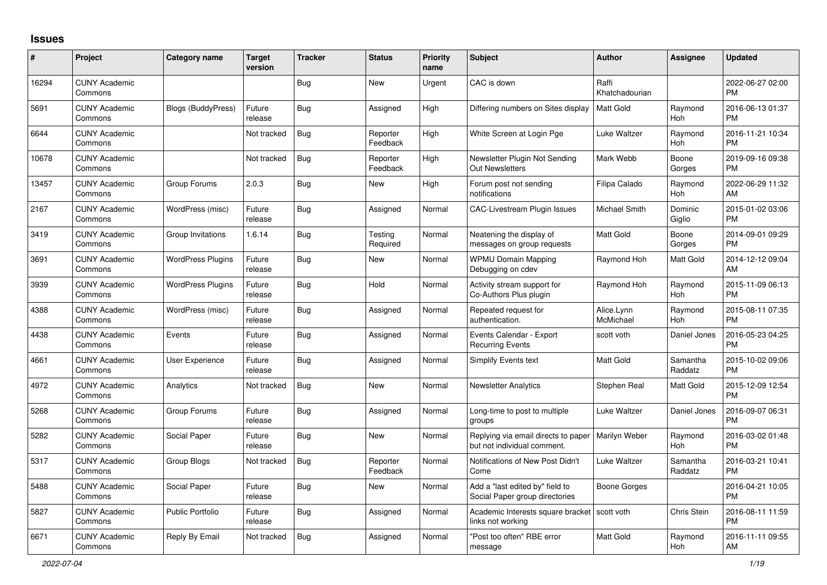## **Issues**

| $\vert$ # | Project                         | <b>Category name</b>      | <b>Target</b><br>version | <b>Tracker</b> | <b>Status</b>        | <b>Priority</b><br>name | <b>Subject</b>                                                      | <b>Author</b>           | Assignee            | <b>Updated</b>                |
|-----------|---------------------------------|---------------------------|--------------------------|----------------|----------------------|-------------------------|---------------------------------------------------------------------|-------------------------|---------------------|-------------------------------|
| 16294     | <b>CUNY Academic</b><br>Commons |                           |                          | Bug            | New                  | Urgent                  | CAC is down                                                         | Raffi<br>Khatchadourian |                     | 2022-06-27 02:00<br><b>PM</b> |
| 5691      | <b>CUNY Academic</b><br>Commons | <b>Blogs (BuddyPress)</b> | Future<br>release        | Bug            | Assigned             | High                    | Differing numbers on Sites display                                  | Matt Gold               | Raymond<br>Hoh      | 2016-06-13 01:37<br><b>PM</b> |
| 6644      | <b>CUNY Academic</b><br>Commons |                           | Not tracked              | <b>Bug</b>     | Reporter<br>Feedback | High                    | White Screen at Login Pge                                           | Luke Waltzer            | Raymond<br>Hoh      | 2016-11-21 10:34<br><b>PM</b> |
| 10678     | <b>CUNY Academic</b><br>Commons |                           | Not tracked              | Bug            | Reporter<br>Feedback | High                    | Newsletter Plugin Not Sending<br><b>Out Newsletters</b>             | Mark Webb               | Boone<br>Gorges     | 2019-09-16 09:38<br><b>PM</b> |
| 13457     | <b>CUNY Academic</b><br>Commons | Group Forums              | 2.0.3                    | Bug            | New                  | High                    | Forum post not sending<br>notifications                             | Filipa Calado           | Raymond<br>Hoh      | 2022-06-29 11:32<br>AM        |
| 2167      | <b>CUNY Academic</b><br>Commons | WordPress (misc)          | Future<br>release        | Bug            | Assigned             | Normal                  | <b>CAC-Livestream Plugin Issues</b>                                 | Michael Smith           | Dominic<br>Giglio   | 2015-01-02 03:06<br><b>PM</b> |
| 3419      | <b>CUNY Academic</b><br>Commons | Group Invitations         | 1.6.14                   | Bug            | Testing<br>Required  | Normal                  | Neatening the display of<br>messages on group requests              | <b>Matt Gold</b>        | Boone<br>Gorges     | 2014-09-01 09:29<br><b>PM</b> |
| 3691      | <b>CUNY Academic</b><br>Commons | <b>WordPress Plugins</b>  | Future<br>release        | Bug            | New                  | Normal                  | <b>WPMU Domain Mapping</b><br>Debugging on cdev                     | Raymond Hoh             | Matt Gold           | 2014-12-12 09:04<br>AM        |
| 3939      | <b>CUNY Academic</b><br>Commons | <b>WordPress Plugins</b>  | Future<br>release        | Bug            | Hold                 | Normal                  | Activity stream support for<br>Co-Authors Plus plugin               | Raymond Hoh             | Raymond<br>Hoh      | 2015-11-09 06:13<br><b>PM</b> |
| 4388      | <b>CUNY Academic</b><br>Commons | WordPress (misc)          | Future<br>release        | Bug            | Assigned             | Normal                  | Repeated request for<br>authentication.                             | Alice.Lynn<br>McMichael | Raymond<br>Hoh      | 2015-08-11 07:35<br><b>PM</b> |
| 4438      | <b>CUNY Academic</b><br>Commons | Events                    | Future<br>release        | Bug            | Assigned             | Normal                  | Events Calendar - Export<br><b>Recurring Events</b>                 | scott voth              | Daniel Jones        | 2016-05-23 04:25<br><b>PM</b> |
| 4661      | <b>CUNY Academic</b><br>Commons | User Experience           | Future<br>release        | Bug            | Assigned             | Normal                  | Simplify Events text                                                | <b>Matt Gold</b>        | Samantha<br>Raddatz | 2015-10-02 09:06<br><b>PM</b> |
| 4972      | <b>CUNY Academic</b><br>Commons | Analytics                 | Not tracked              | <b>Bug</b>     | New                  | Normal                  | <b>Newsletter Analytics</b>                                         | Stephen Real            | Matt Gold           | 2015-12-09 12:54<br><b>PM</b> |
| 5268      | <b>CUNY Academic</b><br>Commons | Group Forums              | Future<br>release        | Bug            | Assigned             | Normal                  | Long-time to post to multiple<br>groups                             | Luke Waltzer            | Daniel Jones        | 2016-09-07 06:31<br><b>PM</b> |
| 5282      | <b>CUNY Academic</b><br>Commons | Social Paper              | Future<br>release        | Bug            | <b>New</b>           | Normal                  | Replying via email directs to paper<br>but not individual comment.  | Marilyn Weber           | Raymond<br>Hoh      | 2016-03-02 01:48<br><b>PM</b> |
| 5317      | <b>CUNY Academic</b><br>Commons | Group Blogs               | Not tracked              | <b>Bug</b>     | Reporter<br>Feedback | Normal                  | Notifications of New Post Didn't<br>Come                            | Luke Waltzer            | Samantha<br>Raddatz | 2016-03-21 10:41<br><b>PM</b> |
| 5488      | <b>CUNY Academic</b><br>Commons | Social Paper              | Future<br>release        | Bug            | New                  | Normal                  | Add a "last edited by" field to<br>Social Paper group directories   | Boone Gorges            |                     | 2016-04-21 10:05<br><b>PM</b> |
| 5827      | <b>CUNY Academic</b><br>Commons | <b>Public Portfolio</b>   | Future<br>release        | <b>Bug</b>     | Assigned             | Normal                  | Academic Interests square bracket   scott voth<br>links not working |                         | Chris Stein         | 2016-08-11 11:59<br><b>PM</b> |
| 6671      | <b>CUNY Academic</b><br>Commons | Reply By Email            | Not tracked              | Bug            | Assigned             | Normal                  | "Post too often" RBE error<br>message                               | <b>Matt Gold</b>        | Raymond<br>Hoh      | 2016-11-11 09:55<br>AM        |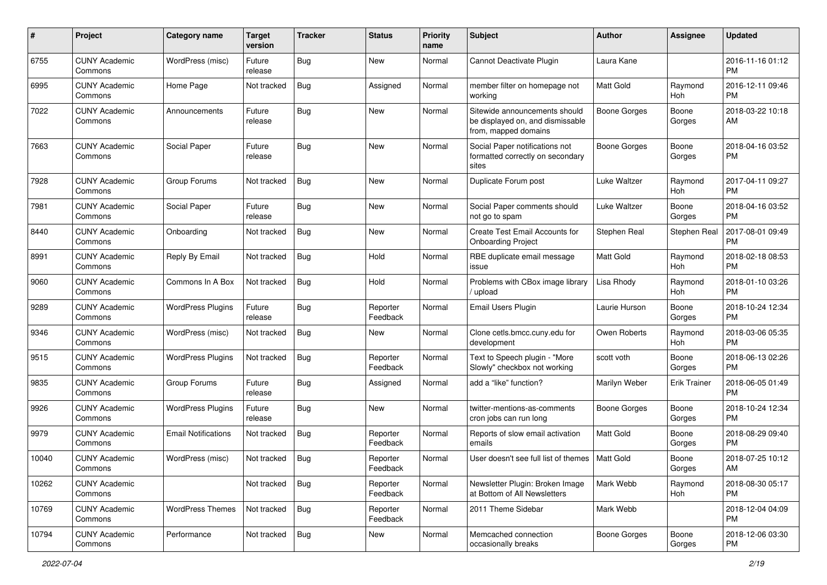| #     | Project                         | <b>Category name</b>       | <b>Target</b><br>version | <b>Tracker</b> | <b>Status</b>        | Priority<br>name | <b>Subject</b>                                                                            | Author              | <b>Assignee</b>     | <b>Updated</b>                |
|-------|---------------------------------|----------------------------|--------------------------|----------------|----------------------|------------------|-------------------------------------------------------------------------------------------|---------------------|---------------------|-------------------------------|
| 6755  | <b>CUNY Academic</b><br>Commons | WordPress (misc)           | Future<br>release        | Bug            | <b>New</b>           | Normal           | Cannot Deactivate Plugin                                                                  | Laura Kane          |                     | 2016-11-16 01:12<br><b>PM</b> |
| 6995  | <b>CUNY Academic</b><br>Commons | Home Page                  | Not tracked              | <b>Bug</b>     | Assigned             | Normal           | member filter on homepage not<br>working                                                  | <b>Matt Gold</b>    | Raymond<br>Hoh      | 2016-12-11 09:46<br><b>PM</b> |
| 7022  | <b>CUNY Academic</b><br>Commons | Announcements              | Future<br>release        | <b>Bug</b>     | New                  | Normal           | Sitewide announcements should<br>be displayed on, and dismissable<br>from, mapped domains | <b>Boone Gorges</b> | Boone<br>Gorges     | 2018-03-22 10:18<br>AM        |
| 7663  | <b>CUNY Academic</b><br>Commons | Social Paper               | Future<br>release        | Bug            | <b>New</b>           | Normal           | Social Paper notifications not<br>formatted correctly on secondary<br>sites               | <b>Boone Gorges</b> | Boone<br>Gorges     | 2018-04-16 03:52<br><b>PM</b> |
| 7928  | <b>CUNY Academic</b><br>Commons | Group Forums               | Not tracked              | Bug            | New                  | Normal           | Duplicate Forum post                                                                      | Luke Waltzer        | Raymond<br>Hoh      | 2017-04-11 09:27<br><b>PM</b> |
| 7981  | <b>CUNY Academic</b><br>Commons | Social Paper               | Future<br>release        | Bug            | New                  | Normal           | Social Paper comments should<br>not go to spam                                            | Luke Waltzer        | Boone<br>Gorges     | 2018-04-16 03:52<br><b>PM</b> |
| 8440  | <b>CUNY Academic</b><br>Commons | Onboarding                 | Not tracked              | <b>Bug</b>     | <b>New</b>           | Normal           | Create Test Email Accounts for<br><b>Onboarding Project</b>                               | Stephen Real        | Stephen Real        | 2017-08-01 09:49<br><b>PM</b> |
| 8991  | <b>CUNY Academic</b><br>Commons | Reply By Email             | Not tracked              | <b>Bug</b>     | Hold                 | Normal           | RBE duplicate email message<br>issue                                                      | Matt Gold           | Raymond<br>Hoh      | 2018-02-18 08:53<br><b>PM</b> |
| 9060  | <b>CUNY Academic</b><br>Commons | Commons In A Box           | Not tracked              | Bug            | Hold                 | Normal           | Problems with CBox image library<br>/ upload                                              | Lisa Rhody          | Raymond<br>Hoh      | 2018-01-10 03:26<br><b>PM</b> |
| 9289  | <b>CUNY Academic</b><br>Commons | <b>WordPress Plugins</b>   | Future<br>release        | Bug            | Reporter<br>Feedback | Normal           | Email Users Plugin                                                                        | Laurie Hurson       | Boone<br>Gorges     | 2018-10-24 12:34<br><b>PM</b> |
| 9346  | <b>CUNY Academic</b><br>Commons | WordPress (misc)           | Not tracked              | Bug            | New                  | Normal           | Clone cetls.bmcc.cuny.edu for<br>development                                              | Owen Roberts        | Raymond<br>Hoh      | 2018-03-06 05:35<br><b>PM</b> |
| 9515  | <b>CUNY Academic</b><br>Commons | <b>WordPress Plugins</b>   | Not tracked              | <b>Bug</b>     | Reporter<br>Feedback | Normal           | Text to Speech plugin - "More<br>Slowly" checkbox not working                             | scott voth          | Boone<br>Gorges     | 2018-06-13 02:26<br><b>PM</b> |
| 9835  | <b>CUNY Academic</b><br>Commons | Group Forums               | Future<br>release        | Bug            | Assigned             | Normal           | add a "like" function?                                                                    | Marilyn Weber       | <b>Erik Trainer</b> | 2018-06-05 01:49<br><b>PM</b> |
| 9926  | <b>CUNY Academic</b><br>Commons | <b>WordPress Plugins</b>   | Future<br>release        | <b>Bug</b>     | <b>New</b>           | Normal           | twitter-mentions-as-comments<br>cron jobs can run long                                    | Boone Gorges        | Boone<br>Gorges     | 2018-10-24 12:34<br><b>PM</b> |
| 9979  | <b>CUNY Academic</b><br>Commons | <b>Email Notifications</b> | Not tracked              | Bug            | Reporter<br>Feedback | Normal           | Reports of slow email activation<br>emails                                                | <b>Matt Gold</b>    | Boone<br>Gorges     | 2018-08-29 09:40<br><b>PM</b> |
| 10040 | <b>CUNY Academic</b><br>Commons | WordPress (misc)           | Not tracked              | <b>Bug</b>     | Reporter<br>Feedback | Normal           | User doesn't see full list of themes   Matt Gold                                          |                     | Boone<br>Gorges     | 2018-07-25 10:12<br>AM        |
| 10262 | <b>CUNY Academic</b><br>Commons |                            | Not tracked              | <b>Bug</b>     | Reporter<br>Feedback | Normal           | Newsletter Plugin: Broken Image<br>at Bottom of All Newsletters                           | Mark Webb           | Raymond<br>Hoh      | 2018-08-30 05:17<br><b>PM</b> |
| 10769 | <b>CUNY Academic</b><br>Commons | <b>WordPress Themes</b>    | Not tracked              | Bug            | Reporter<br>Feedback | Normal           | 2011 Theme Sidebar                                                                        | Mark Webb           |                     | 2018-12-04 04:09<br><b>PM</b> |
| 10794 | <b>CUNY Academic</b><br>Commons | Performance                | Not tracked              | Bug            | New                  | Normal           | Memcached connection<br>occasionally breaks                                               | Boone Gorges        | Boone<br>Gorges     | 2018-12-06 03:30<br><b>PM</b> |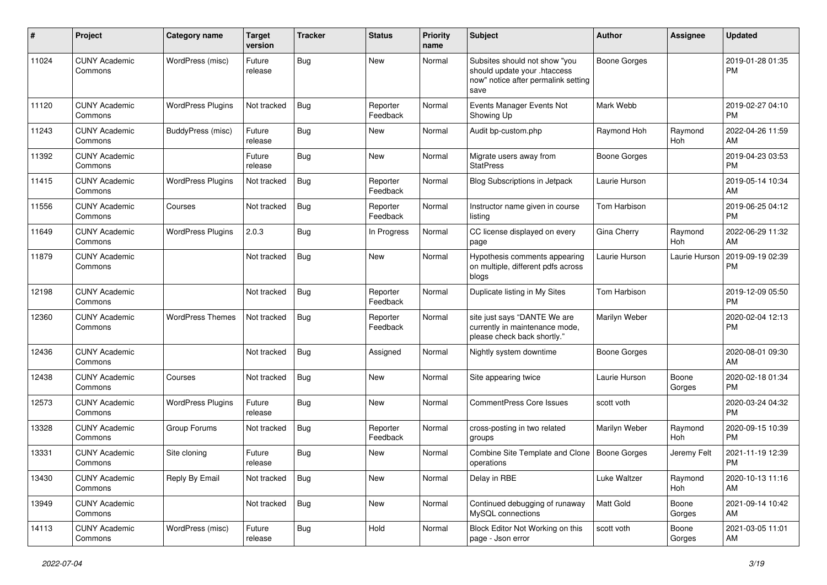| #     | Project                         | Category name            | <b>Target</b><br>version | <b>Tracker</b> | <b>Status</b>        | <b>Priority</b><br>name | Subject                                                                                                      | Author              | <b>Assignee</b>       | <b>Updated</b>                |
|-------|---------------------------------|--------------------------|--------------------------|----------------|----------------------|-------------------------|--------------------------------------------------------------------------------------------------------------|---------------------|-----------------------|-------------------------------|
| 11024 | <b>CUNY Academic</b><br>Commons | WordPress (misc)         | Future<br>release        | <b>Bug</b>     | New                  | Normal                  | Subsites should not show "you<br>should update your .htaccess<br>now" notice after permalink setting<br>save | <b>Boone Gorges</b> |                       | 2019-01-28 01:35<br><b>PM</b> |
| 11120 | <b>CUNY Academic</b><br>Commons | <b>WordPress Plugins</b> | Not tracked              | <b>Bug</b>     | Reporter<br>Feedback | Normal                  | Events Manager Events Not<br>Showing Up                                                                      | Mark Webb           |                       | 2019-02-27 04:10<br><b>PM</b> |
| 11243 | <b>CUNY Academic</b><br>Commons | <b>BuddyPress (misc)</b> | Future<br>release        | Bug            | New                  | Normal                  | Audit bp-custom.php                                                                                          | Raymond Hoh         | Raymond<br>Hoh        | 2022-04-26 11:59<br>AM        |
| 11392 | <b>CUNY Academic</b><br>Commons |                          | Future<br>release        | Bug            | <b>New</b>           | Normal                  | Migrate users away from<br><b>StatPress</b>                                                                  | <b>Boone Gorges</b> |                       | 2019-04-23 03:53<br><b>PM</b> |
| 11415 | <b>CUNY Academic</b><br>Commons | <b>WordPress Plugins</b> | Not tracked              | Bug            | Reporter<br>Feedback | Normal                  | Blog Subscriptions in Jetpack                                                                                | Laurie Hurson       |                       | 2019-05-14 10:34<br>AM        |
| 11556 | <b>CUNY Academic</b><br>Commons | Courses                  | Not tracked              | Bug            | Reporter<br>Feedback | Normal                  | Instructor name given in course<br>listing                                                                   | Tom Harbison        |                       | 2019-06-25 04:12<br><b>PM</b> |
| 11649 | <b>CUNY Academic</b><br>Commons | <b>WordPress Plugins</b> | 2.0.3                    | <b>Bug</b>     | In Progress          | Normal                  | CC license displayed on every<br>page                                                                        | Gina Cherry         | Raymond<br><b>Hoh</b> | 2022-06-29 11:32<br>AM        |
| 11879 | <b>CUNY Academic</b><br>Commons |                          | Not tracked              | Bug            | New                  | Normal                  | Hypothesis comments appearing<br>on multiple, different pdfs across<br>blogs                                 | Laurie Hurson       | Laurie Hurson         | 2019-09-19 02:39<br><b>PM</b> |
| 12198 | <b>CUNY Academic</b><br>Commons |                          | Not tracked              | Bug            | Reporter<br>Feedback | Normal                  | Duplicate listing in My Sites                                                                                | Tom Harbison        |                       | 2019-12-09 05:50<br><b>PM</b> |
| 12360 | <b>CUNY Academic</b><br>Commons | <b>WordPress Themes</b>  | Not tracked              | <b>Bug</b>     | Reporter<br>Feedback | Normal                  | site just says "DANTE We are<br>currently in maintenance mode,<br>please check back shortly."                | Marilyn Weber       |                       | 2020-02-04 12:13<br><b>PM</b> |
| 12436 | <b>CUNY Academic</b><br>Commons |                          | Not tracked              | Bug            | Assigned             | Normal                  | Nightly system downtime                                                                                      | <b>Boone Gorges</b> |                       | 2020-08-01 09:30<br>AM        |
| 12438 | <b>CUNY Academic</b><br>Commons | Courses                  | Not tracked              | Bug            | New                  | Normal                  | Site appearing twice                                                                                         | Laurie Hurson       | Boone<br>Gorges       | 2020-02-18 01:34<br><b>PM</b> |
| 12573 | <b>CUNY Academic</b><br>Commons | <b>WordPress Plugins</b> | Future<br>release        | <b>Bug</b>     | New                  | Normal                  | <b>CommentPress Core Issues</b>                                                                              | scott voth          |                       | 2020-03-24 04:32<br><b>PM</b> |
| 13328 | <b>CUNY Academic</b><br>Commons | Group Forums             | Not tracked              | Bug            | Reporter<br>Feedback | Normal                  | cross-posting in two related<br>groups                                                                       | Marilyn Weber       | Raymond<br>Hoh        | 2020-09-15 10:39<br><b>PM</b> |
| 13331 | <b>CUNY Academic</b><br>Commons | Site cloning             | Future<br>release        | <b>Bug</b>     | New                  | Normal                  | Combine Site Template and Clone<br>operations                                                                | <b>Boone Gorges</b> | Jeremy Felt           | 2021-11-19 12:39<br><b>PM</b> |
| 13430 | <b>CUNY Academic</b><br>Commons | Reply By Email           | Not tracked              | Bug            | New                  | Normal                  | Delay in RBE                                                                                                 | Luke Waltzer        | Raymond<br>Hoh        | 2020-10-13 11:16<br>AM        |
| 13949 | <b>CUNY Academic</b><br>Commons |                          | Not tracked              | Bug            | New                  | Normal                  | Continued debugging of runaway<br>MvSQL connections                                                          | Matt Gold           | Boone<br>Gorges       | 2021-09-14 10:42<br>AM        |
| 14113 | <b>CUNY Academic</b><br>Commons | WordPress (misc)         | Future<br>release        | <b>Bug</b>     | Hold                 | Normal                  | Block Editor Not Working on this<br>page - Json error                                                        | scott voth          | Boone<br>Gorges       | 2021-03-05 11:01<br>AM        |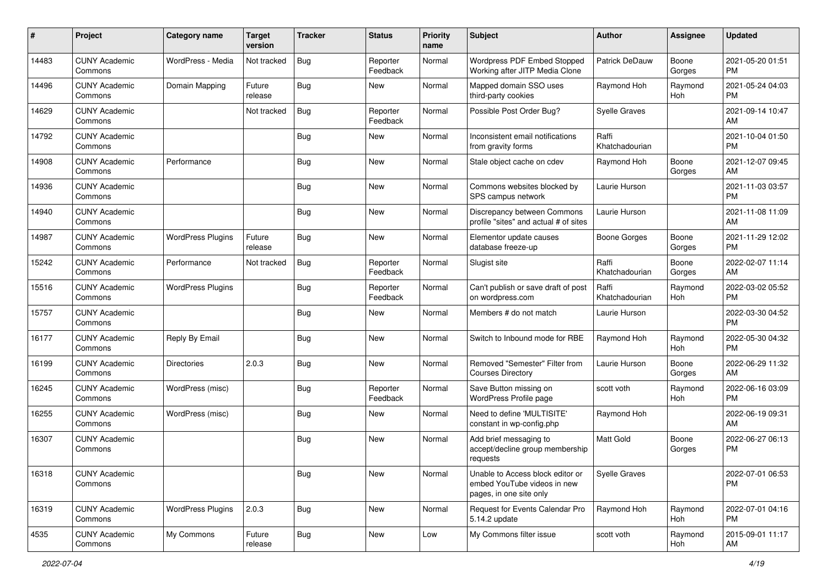| #     | Project                         | <b>Category name</b>     | <b>Target</b><br>version | <b>Tracker</b> | <b>Status</b>        | <b>Priority</b><br>name | <b>Subject</b>                                                                             | <b>Author</b>           | <b>Assignee</b> | <b>Updated</b>                |
|-------|---------------------------------|--------------------------|--------------------------|----------------|----------------------|-------------------------|--------------------------------------------------------------------------------------------|-------------------------|-----------------|-------------------------------|
| 14483 | <b>CUNY Academic</b><br>Commons | WordPress - Media        | Not tracked              | <b>Bug</b>     | Reporter<br>Feedback | Normal                  | <b>Wordpress PDF Embed Stopped</b><br>Working after JITP Media Clone                       | Patrick DeDauw          | Boone<br>Gorges | 2021-05-20 01:51<br><b>PM</b> |
| 14496 | <b>CUNY Academic</b><br>Commons | Domain Mapping           | Future<br>release        | <b>Bug</b>     | New                  | Normal                  | Mapped domain SSO uses<br>third-party cookies                                              | Raymond Hoh             | Raymond<br>Hoh  | 2021-05-24 04:03<br><b>PM</b> |
| 14629 | <b>CUNY Academic</b><br>Commons |                          | Not tracked              | Bug            | Reporter<br>Feedback | Normal                  | Possible Post Order Bug?                                                                   | <b>Syelle Graves</b>    |                 | 2021-09-14 10:47<br>AM        |
| 14792 | <b>CUNY Academic</b><br>Commons |                          |                          | Bug            | New                  | Normal                  | Inconsistent email notifications<br>from gravity forms                                     | Raffi<br>Khatchadourian |                 | 2021-10-04 01:50<br><b>PM</b> |
| 14908 | <b>CUNY Academic</b><br>Commons | Performance              |                          | <b>Bug</b>     | <b>New</b>           | Normal                  | Stale object cache on cdev                                                                 | Raymond Hoh             | Boone<br>Gorges | 2021-12-07 09:45<br>AM        |
| 14936 | <b>CUNY Academic</b><br>Commons |                          |                          | <b>Bug</b>     | New                  | Normal                  | Commons websites blocked by<br>SPS campus network                                          | Laurie Hurson           |                 | 2021-11-03 03:57<br><b>PM</b> |
| 14940 | <b>CUNY Academic</b><br>Commons |                          |                          | Bug            | <b>New</b>           | Normal                  | Discrepancy between Commons<br>profile "sites" and actual # of sites                       | Laurie Hurson           |                 | 2021-11-08 11:09<br>AM        |
| 14987 | <b>CUNY Academic</b><br>Commons | <b>WordPress Plugins</b> | Future<br>release        | Bug            | New                  | Normal                  | Elementor update causes<br>database freeze-up                                              | <b>Boone Gorges</b>     | Boone<br>Gorges | 2021-11-29 12:02<br><b>PM</b> |
| 15242 | <b>CUNY Academic</b><br>Commons | Performance              | Not tracked              | Bug            | Reporter<br>Feedback | Normal                  | Slugist site                                                                               | Raffi<br>Khatchadourian | Boone<br>Gorges | 2022-02-07 11:14<br>AM        |
| 15516 | <b>CUNY Academic</b><br>Commons | <b>WordPress Plugins</b> |                          | <b>Bug</b>     | Reporter<br>Feedback | Normal                  | Can't publish or save draft of post<br>on wordpress.com                                    | Raffi<br>Khatchadourian | Raymond<br>Hoh  | 2022-03-02 05:52<br><b>PM</b> |
| 15757 | <b>CUNY Academic</b><br>Commons |                          |                          | Bug            | New                  | Normal                  | Members # do not match                                                                     | Laurie Hurson           |                 | 2022-03-30 04:52<br><b>PM</b> |
| 16177 | <b>CUNY Academic</b><br>Commons | Reply By Email           |                          | Bug            | <b>New</b>           | Normal                  | Switch to Inbound mode for RBE                                                             | Raymond Hoh             | Raymond<br>Hoh  | 2022-05-30 04:32<br><b>PM</b> |
| 16199 | <b>CUNY Academic</b><br>Commons | <b>Directories</b>       | 2.0.3                    | Bug            | <b>New</b>           | Normal                  | Removed "Semester" Filter from<br><b>Courses Directory</b>                                 | Laurie Hurson           | Boone<br>Gorges | 2022-06-29 11:32<br>AM        |
| 16245 | <b>CUNY Academic</b><br>Commons | WordPress (misc)         |                          | Bug            | Reporter<br>Feedback | Normal                  | Save Button missing on<br>WordPress Profile page                                           | scott voth              | Raymond<br>Hoh  | 2022-06-16 03:09<br><b>PM</b> |
| 16255 | <b>CUNY Academic</b><br>Commons | WordPress (misc)         |                          | Bug            | New                  | Normal                  | Need to define 'MULTISITE'<br>constant in wp-config.php                                    | Raymond Hoh             |                 | 2022-06-19 09:31<br>AM        |
| 16307 | <b>CUNY Academic</b><br>Commons |                          |                          | Bug            | New                  | Normal                  | Add brief messaging to<br>accept/decline group membership<br>requests                      | <b>Matt Gold</b>        | Boone<br>Gorges | 2022-06-27 06:13<br><b>PM</b> |
| 16318 | <b>CUNY Academic</b><br>Commons |                          |                          | <b>Bug</b>     | New                  | Normal                  | Unable to Access block editor or<br>embed YouTube videos in new<br>pages, in one site only | Syelle Graves           |                 | 2022-07-01 06:53<br><b>PM</b> |
| 16319 | <b>CUNY Academic</b><br>Commons | <b>WordPress Plugins</b> | 2.0.3                    | <b>Bug</b>     | New                  | Normal                  | Request for Events Calendar Pro<br>5.14.2 update                                           | Raymond Hoh             | Raymond<br>Hoh  | 2022-07-01 04:16<br><b>PM</b> |
| 4535  | <b>CUNY Academic</b><br>Commons | My Commons               | Future<br>release        | <b>Bug</b>     | New                  | Low                     | My Commons filter issue                                                                    | scott voth              | Raymond<br>Hoh  | 2015-09-01 11:17<br>AM        |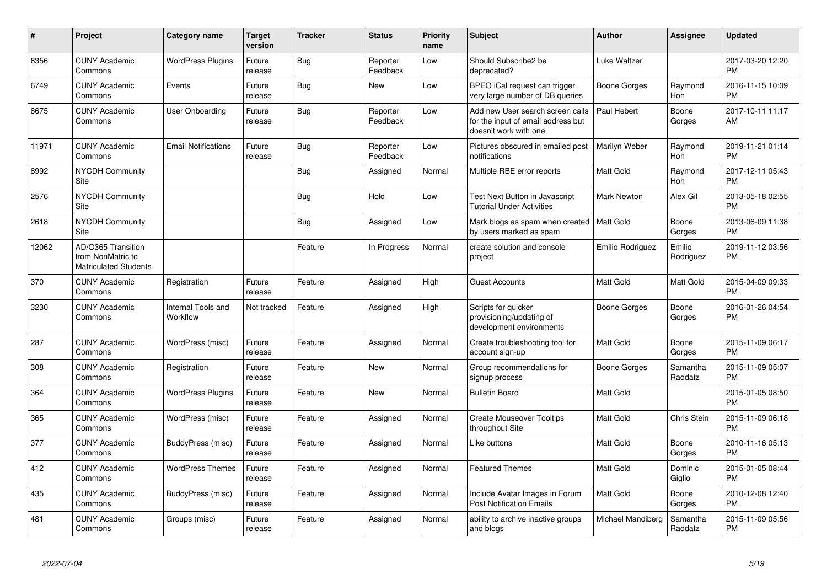| #     | Project                                                                 | <b>Category name</b>           | <b>Target</b><br>version | <b>Tracker</b> | <b>Status</b>        | <b>Priority</b><br>name | <b>Subject</b>                                                                                  | <b>Author</b>        | <b>Assignee</b>     | <b>Updated</b>                |
|-------|-------------------------------------------------------------------------|--------------------------------|--------------------------|----------------|----------------------|-------------------------|-------------------------------------------------------------------------------------------------|----------------------|---------------------|-------------------------------|
| 6356  | <b>CUNY Academic</b><br>Commons                                         | <b>WordPress Plugins</b>       | Future<br>release        | Bug            | Reporter<br>Feedback | Low                     | Should Subscribe2 be<br>deprecated?                                                             | Luke Waltzer         |                     | 2017-03-20 12:20<br><b>PM</b> |
| 6749  | <b>CUNY Academic</b><br>Commons                                         | Events                         | Future<br>release        | Bug            | <b>New</b>           | Low                     | BPEO iCal request can trigger<br>very large number of DB queries                                | Boone Gorges         | Raymond<br>Hoh      | 2016-11-15 10:09<br><b>PM</b> |
| 8675  | <b>CUNY Academic</b><br>Commons                                         | User Onboarding                | Future<br>release        | Bug            | Reporter<br>Feedback | Low                     | Add new User search screen calls<br>for the input of email address but<br>doesn't work with one | Paul Hebert          | Boone<br>Gorges     | 2017-10-11 11:17<br>AM        |
| 11971 | <b>CUNY Academic</b><br>Commons                                         | <b>Email Notifications</b>     | Future<br>release        | Bug            | Reporter<br>Feedback | Low                     | Pictures obscured in emailed post<br>notifications                                              | <b>Marilyn Weber</b> | Raymond<br>Hoh      | 2019-11-21 01:14<br><b>PM</b> |
| 8992  | <b>NYCDH Community</b><br>Site                                          |                                |                          | Bug            | Assigned             | Normal                  | Multiple RBE error reports                                                                      | Matt Gold            | Raymond<br>Hoh      | 2017-12-11 05:43<br><b>PM</b> |
| 2576  | <b>NYCDH Community</b><br>Site                                          |                                |                          | Bug            | Hold                 | Low                     | Test Next Button in Javascript<br><b>Tutorial Under Activities</b>                              | <b>Mark Newton</b>   | Alex Gil            | 2013-05-18 02:55<br><b>PM</b> |
| 2618  | <b>NYCDH Community</b><br>Site                                          |                                |                          | Bug            | Assigned             | Low                     | Mark blogs as spam when created<br>by users marked as spam                                      | l Matt Gold          | Boone<br>Gorges     | 2013-06-09 11:38<br><b>PM</b> |
| 12062 | AD/O365 Transition<br>from NonMatric to<br><b>Matriculated Students</b> |                                |                          | Feature        | In Progress          | Normal                  | create solution and console<br>project                                                          | Emilio Rodriguez     | Emilio<br>Rodriguez | 2019-11-12 03:56<br><b>PM</b> |
| 370   | <b>CUNY Academic</b><br>Commons                                         | Registration                   | Future<br>release        | Feature        | Assigned             | High                    | <b>Guest Accounts</b>                                                                           | <b>Matt Gold</b>     | Matt Gold           | 2015-04-09 09:33<br><b>PM</b> |
| 3230  | <b>CUNY Academic</b><br>Commons                                         | Internal Tools and<br>Workflow | Not tracked              | Feature        | Assigned             | High                    | Scripts for quicker<br>provisioning/updating of<br>development environments                     | Boone Gorges         | Boone<br>Gorges     | 2016-01-26 04:54<br><b>PM</b> |
| 287   | <b>CUNY Academic</b><br>Commons                                         | WordPress (misc)               | Future<br>release        | Feature        | Assigned             | Normal                  | Create troubleshooting tool for<br>account sign-up                                              | <b>Matt Gold</b>     | Boone<br>Gorges     | 2015-11-09 06:17<br><b>PM</b> |
| 308   | <b>CUNY Academic</b><br>Commons                                         | Registration                   | Future<br>release        | Feature        | New                  | Normal                  | Group recommendations for<br>signup process                                                     | Boone Gorges         | Samantha<br>Raddatz | 2015-11-09 05:07<br><b>PM</b> |
| 364   | <b>CUNY Academic</b><br>Commons                                         | <b>WordPress Plugins</b>       | Future<br>release        | Feature        | <b>New</b>           | Normal                  | <b>Bulletin Board</b>                                                                           | <b>Matt Gold</b>     |                     | 2015-01-05 08:50<br><b>PM</b> |
| 365   | <b>CUNY Academic</b><br>Commons                                         | WordPress (misc)               | Future<br>release        | Feature        | Assigned             | Normal                  | <b>Create Mouseover Tooltips</b><br>throughout Site                                             | <b>Matt Gold</b>     | Chris Stein         | 2015-11-09 06:18<br><b>PM</b> |
| 377   | <b>CUNY Academic</b><br>Commons                                         | BuddyPress (misc)              | Future<br>release        | Feature        | Assigned             | Normal                  | Like buttons                                                                                    | Matt Gold            | Boone<br>Gorges     | 2010-11-16 05:13<br><b>PM</b> |
| 412   | <b>CUNY Academic</b><br>Commons                                         | <b>WordPress Themes</b>        | Future<br>release        | Feature        | Assigned             | Normal                  | <b>Featured Themes</b>                                                                          | Matt Gold            | Dominic<br>Giglio   | 2015-01-05 08:44<br><b>PM</b> |
| 435   | <b>CUNY Academic</b><br>Commons                                         | BuddyPress (misc)              | Future<br>release        | Feature        | Assigned             | Normal                  | Include Avatar Images in Forum<br><b>Post Notification Emails</b>                               | <b>Matt Gold</b>     | Boone<br>Gorges     | 2010-12-08 12:40<br><b>PM</b> |
| 481   | <b>CUNY Academic</b><br>Commons                                         | Groups (misc)                  | Future<br>release        | Feature        | Assigned             | Normal                  | ability to archive inactive groups<br>and blogs                                                 | Michael Mandiberg    | Samantha<br>Raddatz | 2015-11-09 05:56<br><b>PM</b> |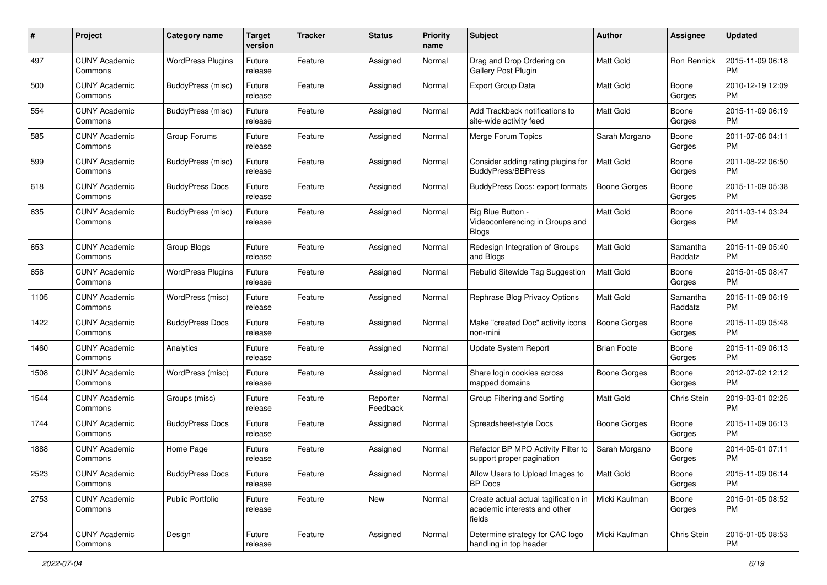| #    | Project                         | <b>Category name</b>     | <b>Target</b><br>version | Tracker | <b>Status</b>        | <b>Priority</b><br>name | <b>Subject</b>                                                                 | Author              | <b>Assignee</b>     | <b>Updated</b>                |
|------|---------------------------------|--------------------------|--------------------------|---------|----------------------|-------------------------|--------------------------------------------------------------------------------|---------------------|---------------------|-------------------------------|
| 497  | <b>CUNY Academic</b><br>Commons | <b>WordPress Plugins</b> | Future<br>release        | Feature | Assigned             | Normal                  | Drag and Drop Ordering on<br>Gallery Post Plugin                               | <b>Matt Gold</b>    | Ron Rennick         | 2015-11-09 06:18<br><b>PM</b> |
| 500  | <b>CUNY Academic</b><br>Commons | BuddyPress (misc)        | Future<br>release        | Feature | Assigned             | Normal                  | <b>Export Group Data</b>                                                       | Matt Gold           | Boone<br>Gorges     | 2010-12-19 12:09<br><b>PM</b> |
| 554  | <b>CUNY Academic</b><br>Commons | <b>BuddyPress (misc)</b> | Future<br>release        | Feature | Assigned             | Normal                  | Add Trackback notifications to<br>site-wide activity feed                      | Matt Gold           | Boone<br>Gorges     | 2015-11-09 06:19<br><b>PM</b> |
| 585  | <b>CUNY Academic</b><br>Commons | Group Forums             | Future<br>release        | Feature | Assigned             | Normal                  | Merge Forum Topics                                                             | Sarah Morgano       | Boone<br>Gorges     | 2011-07-06 04:11<br><b>PM</b> |
| 599  | <b>CUNY Academic</b><br>Commons | BuddyPress (misc)        | Future<br>release        | Feature | Assigned             | Normal                  | Consider adding rating plugins for<br><b>BuddyPress/BBPress</b>                | <b>Matt Gold</b>    | Boone<br>Gorges     | 2011-08-22 06:50<br><b>PM</b> |
| 618  | <b>CUNY Academic</b><br>Commons | <b>BuddyPress Docs</b>   | Future<br>release        | Feature | Assigned             | Normal                  | BuddyPress Docs: export formats                                                | <b>Boone Gorges</b> | Boone<br>Gorges     | 2015-11-09 05:38<br><b>PM</b> |
| 635  | <b>CUNY Academic</b><br>Commons | BuddyPress (misc)        | Future<br>release        | Feature | Assigned             | Normal                  | Big Blue Button -<br>Videoconferencing in Groups and<br><b>Blogs</b>           | <b>Matt Gold</b>    | Boone<br>Gorges     | 2011-03-14 03:24<br><b>PM</b> |
| 653  | <b>CUNY Academic</b><br>Commons | Group Blogs              | Future<br>release        | Feature | Assigned             | Normal                  | Redesign Integration of Groups<br>and Blogs                                    | Matt Gold           | Samantha<br>Raddatz | 2015-11-09 05:40<br><b>PM</b> |
| 658  | <b>CUNY Academic</b><br>Commons | <b>WordPress Plugins</b> | Future<br>release        | Feature | Assigned             | Normal                  | Rebulid Sitewide Tag Suggestion                                                | <b>Matt Gold</b>    | Boone<br>Gorges     | 2015-01-05 08:47<br><b>PM</b> |
| 1105 | <b>CUNY Academic</b><br>Commons | WordPress (misc)         | Future<br>release        | Feature | Assigned             | Normal                  | Rephrase Blog Privacy Options                                                  | <b>Matt Gold</b>    | Samantha<br>Raddatz | 2015-11-09 06:19<br><b>PM</b> |
| 1422 | <b>CUNY Academic</b><br>Commons | <b>BuddyPress Docs</b>   | Future<br>release        | Feature | Assigned             | Normal                  | Make "created Doc" activity icons<br>non-mini                                  | <b>Boone Gorges</b> | Boone<br>Gorges     | 2015-11-09 05:48<br><b>PM</b> |
| 1460 | CUNY Academic<br>Commons        | Analytics                | Future<br>release        | Feature | Assigned             | Normal                  | <b>Update System Report</b>                                                    | <b>Brian Foote</b>  | Boone<br>Gorges     | 2015-11-09 06:13<br><b>PM</b> |
| 1508 | <b>CUNY Academic</b><br>Commons | WordPress (misc)         | Future<br>release        | Feature | Assigned             | Normal                  | Share login cookies across<br>mapped domains                                   | <b>Boone Gorges</b> | Boone<br>Gorges     | 2012-07-02 12:12<br><b>PM</b> |
| 1544 | <b>CUNY Academic</b><br>Commons | Groups (misc)            | Future<br>release        | Feature | Reporter<br>Feedback | Normal                  | Group Filtering and Sorting                                                    | Matt Gold           | Chris Stein         | 2019-03-01 02:25<br><b>PM</b> |
| 1744 | <b>CUNY Academic</b><br>Commons | <b>BuddyPress Docs</b>   | Future<br>release        | Feature | Assigned             | Normal                  | Spreadsheet-style Docs                                                         | <b>Boone Gorges</b> | Boone<br>Gorges     | 2015-11-09 06:13<br><b>PM</b> |
| 1888 | <b>CUNY Academic</b><br>Commons | Home Page                | Future<br>release        | Feature | Assigned             | Normal                  | Refactor BP MPO Activity Filter to<br>support proper pagination                | Sarah Morgano       | Boone<br>Gorges     | 2014-05-01 07:11<br><b>PM</b> |
| 2523 | <b>CUNY Academic</b><br>Commons | <b>BuddyPress Docs</b>   | Future<br>release        | Feature | Assigned             | Normal                  | Allow Users to Upload Images to<br>BP Docs                                     | Matt Gold           | Boone<br>Gorges     | 2015-11-09 06:14<br><b>PM</b> |
| 2753 | <b>CUNY Academic</b><br>Commons | Public Portfolio         | Future<br>release        | Feature | New                  | Normal                  | Create actual actual tagification in<br>academic interests and other<br>fields | Micki Kaufman       | Boone<br>Gorges     | 2015-01-05 08:52<br>PM        |
| 2754 | <b>CUNY Academic</b><br>Commons | Design                   | Future<br>release        | Feature | Assigned             | Normal                  | Determine strategy for CAC logo<br>handling in top header                      | Micki Kaufman       | Chris Stein         | 2015-01-05 08:53<br>PM        |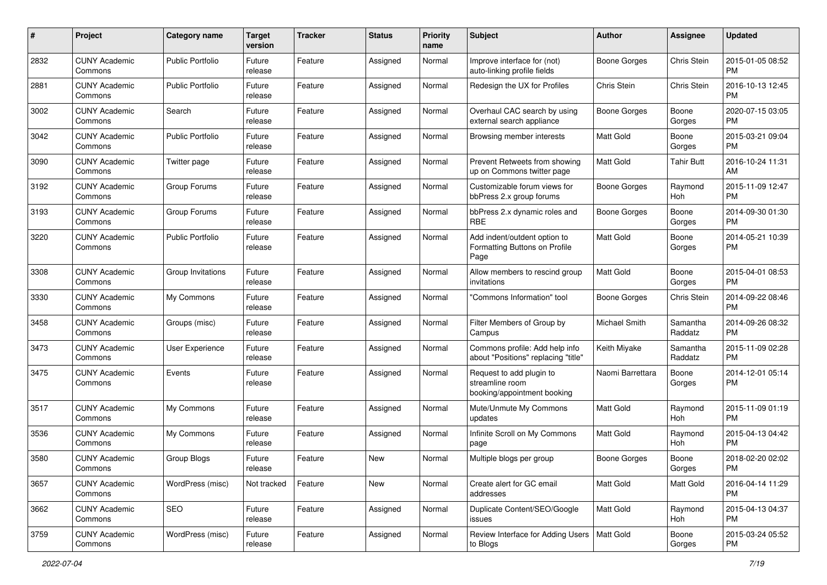| #    | Project                         | <b>Category name</b>    | <b>Target</b><br>version | <b>Tracker</b> | <b>Status</b> | Priority<br>name | <b>Subject</b>                                                             | <b>Author</b>       | <b>Assignee</b>     | <b>Updated</b>                |
|------|---------------------------------|-------------------------|--------------------------|----------------|---------------|------------------|----------------------------------------------------------------------------|---------------------|---------------------|-------------------------------|
| 2832 | <b>CUNY Academic</b><br>Commons | <b>Public Portfolio</b> | Future<br>release        | Feature        | Assigned      | Normal           | Improve interface for (not)<br>auto-linking profile fields                 | <b>Boone Gorges</b> | Chris Stein         | 2015-01-05 08:52<br><b>PM</b> |
| 2881 | <b>CUNY Academic</b><br>Commons | <b>Public Portfolio</b> | Future<br>release        | Feature        | Assigned      | Normal           | Redesign the UX for Profiles                                               | Chris Stein         | Chris Stein         | 2016-10-13 12:45<br><b>PM</b> |
| 3002 | <b>CUNY Academic</b><br>Commons | Search                  | Future<br>release        | Feature        | Assigned      | Normal           | Overhaul CAC search by using<br>external search appliance                  | Boone Gorges        | Boone<br>Gorges     | 2020-07-15 03:05<br><b>PM</b> |
| 3042 | <b>CUNY Academic</b><br>Commons | <b>Public Portfolio</b> | Future<br>release        | Feature        | Assigned      | Normal           | Browsing member interests                                                  | <b>Matt Gold</b>    | Boone<br>Gorges     | 2015-03-21 09:04<br>PM.       |
| 3090 | <b>CUNY Academic</b><br>Commons | Twitter page            | Future<br>release        | Feature        | Assigned      | Normal           | Prevent Retweets from showing<br>up on Commons twitter page                | Matt Gold           | Tahir Butt          | 2016-10-24 11:31<br>AM        |
| 3192 | <b>CUNY Academic</b><br>Commons | Group Forums            | Future<br>release        | Feature        | Assigned      | Normal           | Customizable forum views for<br>bbPress 2.x group forums                   | Boone Gorges        | Raymond<br>Hoh      | 2015-11-09 12:47<br><b>PM</b> |
| 3193 | <b>CUNY Academic</b><br>Commons | Group Forums            | Future<br>release        | Feature        | Assigned      | Normal           | bbPress 2.x dynamic roles and<br>RBE                                       | <b>Boone Gorges</b> | Boone<br>Gorges     | 2014-09-30 01:30<br>PM.       |
| 3220 | <b>CUNY Academic</b><br>Commons | <b>Public Portfolio</b> | Future<br>release        | Feature        | Assigned      | Normal           | Add indent/outdent option to<br>Formatting Buttons on Profile<br>Page      | <b>Matt Gold</b>    | Boone<br>Gorges     | 2014-05-21 10:39<br>PM.       |
| 3308 | <b>CUNY Academic</b><br>Commons | Group Invitations       | Future<br>release        | Feature        | Assigned      | Normal           | Allow members to rescind group<br>invitations                              | <b>Matt Gold</b>    | Boone<br>Gorges     | 2015-04-01 08:53<br>PM.       |
| 3330 | <b>CUNY Academic</b><br>Commons | My Commons              | Future<br>release        | Feature        | Assigned      | Normal           | "Commons Information" tool                                                 | Boone Gorges        | Chris Stein         | 2014-09-22 08:46<br><b>PM</b> |
| 3458 | <b>CUNY Academic</b><br>Commons | Groups (misc)           | Future<br>release        | Feature        | Assigned      | Normal           | Filter Members of Group by<br>Campus                                       | Michael Smith       | Samantha<br>Raddatz | 2014-09-26 08:32<br><b>PM</b> |
| 3473 | <b>CUNY Academic</b><br>Commons | User Experience         | Future<br>release        | Feature        | Assigned      | Normal           | Commons profile: Add help info<br>about "Positions" replacing "title"      | Keith Miyake        | Samantha<br>Raddatz | 2015-11-09 02:28<br><b>PM</b> |
| 3475 | <b>CUNY Academic</b><br>Commons | Events                  | Future<br>release        | Feature        | Assigned      | Normal           | Request to add plugin to<br>streamline room<br>booking/appointment booking | Naomi Barrettara    | Boone<br>Gorges     | 2014-12-01 05:14<br><b>PM</b> |
| 3517 | <b>CUNY Academic</b><br>Commons | My Commons              | Future<br>release        | Feature        | Assigned      | Normal           | Mute/Unmute My Commons<br>updates                                          | <b>Matt Gold</b>    | Raymond<br>Hoh      | 2015-11-09 01:19<br><b>PM</b> |
| 3536 | <b>CUNY Academic</b><br>Commons | My Commons              | Future<br>release        | Feature        | Assigned      | Normal           | Infinite Scroll on My Commons<br>page                                      | Matt Gold           | Raymond<br>Hoh      | 2015-04-13 04:42<br><b>PM</b> |
| 3580 | <b>CUNY Academic</b><br>Commons | Group Blogs             | Future<br>release        | Feature        | New           | Normal           | Multiple blogs per group                                                   | <b>Boone Gorges</b> | Boone<br>Gorges     | 2018-02-20 02:02<br><b>PM</b> |
| 3657 | <b>CUNY Academic</b><br>Commons | WordPress (misc)        | Not tracked              | Feature        | New           | Normal           | Create alert for GC email<br>addresses                                     | Matt Gold           | Matt Gold           | 2016-04-14 11:29<br>PM.       |
| 3662 | <b>CUNY Academic</b><br>Commons | SEO                     | Future<br>release        | Feature        | Assigned      | Normal           | Duplicate Content/SEO/Google<br>issues                                     | Matt Gold           | Raymond<br>Hoh      | 2015-04-13 04:37<br><b>PM</b> |
| 3759 | <b>CUNY Academic</b><br>Commons | WordPress (misc)        | Future<br>release        | Feature        | Assigned      | Normal           | Review Interface for Adding Users   Matt Gold<br>to Blogs                  |                     | Boone<br>Gorges     | 2015-03-24 05:52<br><b>PM</b> |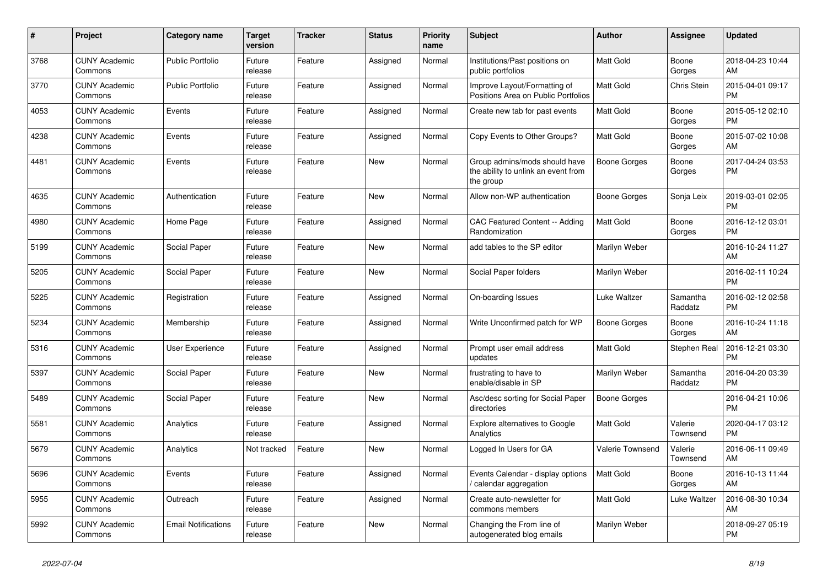| #    | Project                         | <b>Category name</b>       | <b>Target</b><br>version | <b>Tracker</b> | <b>Status</b> | Priority<br>name | <b>Subject</b>                                                                    | <b>Author</b>    | Assignee            | <b>Updated</b>                |
|------|---------------------------------|----------------------------|--------------------------|----------------|---------------|------------------|-----------------------------------------------------------------------------------|------------------|---------------------|-------------------------------|
| 3768 | <b>CUNY Academic</b><br>Commons | <b>Public Portfolio</b>    | Future<br>release        | Feature        | Assigned      | Normal           | Institutions/Past positions on<br>public portfolios                               | <b>Matt Gold</b> | Boone<br>Gorges     | 2018-04-23 10:44<br>AM        |
| 3770 | <b>CUNY Academic</b><br>Commons | <b>Public Portfolio</b>    | Future<br>release        | Feature        | Assigned      | Normal           | Improve Layout/Formatting of<br>Positions Area on Public Portfolios               | <b>Matt Gold</b> | Chris Stein         | 2015-04-01 09:17<br><b>PM</b> |
| 4053 | <b>CUNY Academic</b><br>Commons | Events                     | Future<br>release        | Feature        | Assigned      | Normal           | Create new tab for past events                                                    | Matt Gold        | Boone<br>Gorges     | 2015-05-12 02:10<br><b>PM</b> |
| 4238 | <b>CUNY Academic</b><br>Commons | Events                     | Future<br>release        | Feature        | Assigned      | Normal           | Copy Events to Other Groups?                                                      | <b>Matt Gold</b> | Boone<br>Gorges     | 2015-07-02 10:08<br>AM        |
| 4481 | <b>CUNY Academic</b><br>Commons | Events                     | Future<br>release        | Feature        | New           | Normal           | Group admins/mods should have<br>the ability to unlink an event from<br>the group | Boone Gorges     | Boone<br>Gorges     | 2017-04-24 03:53<br><b>PM</b> |
| 4635 | <b>CUNY Academic</b><br>Commons | Authentication             | Future<br>release        | Feature        | New           | Normal           | Allow non-WP authentication                                                       | Boone Gorges     | Sonja Leix          | 2019-03-01 02:05<br><b>PM</b> |
| 4980 | <b>CUNY Academic</b><br>Commons | Home Page                  | Future<br>release        | Feature        | Assigned      | Normal           | CAC Featured Content -- Adding<br>Randomization                                   | <b>Matt Gold</b> | Boone<br>Gorges     | 2016-12-12 03:01<br><b>PM</b> |
| 5199 | <b>CUNY Academic</b><br>Commons | Social Paper               | Future<br>release        | Feature        | New           | Normal           | add tables to the SP editor                                                       | Marilyn Weber    |                     | 2016-10-24 11:27<br>AM        |
| 5205 | <b>CUNY Academic</b><br>Commons | Social Paper               | Future<br>release        | Feature        | New           | Normal           | Social Paper folders                                                              | Marilyn Weber    |                     | 2016-02-11 10:24<br><b>PM</b> |
| 5225 | <b>CUNY Academic</b><br>Commons | Registration               | Future<br>release        | Feature        | Assigned      | Normal           | On-boarding Issues                                                                | Luke Waltzer     | Samantha<br>Raddatz | 2016-02-12 02:58<br><b>PM</b> |
| 5234 | <b>CUNY Academic</b><br>Commons | Membership                 | Future<br>release        | Feature        | Assigned      | Normal           | Write Unconfirmed patch for WP                                                    | Boone Gorges     | Boone<br>Gorges     | 2016-10-24 11:18<br>AM        |
| 5316 | <b>CUNY Academic</b><br>Commons | User Experience            | Future<br>release        | Feature        | Assigned      | Normal           | Prompt user email address<br>updates                                              | Matt Gold        | Stephen Real        | 2016-12-21 03:30<br><b>PM</b> |
| 5397 | <b>CUNY Academic</b><br>Commons | Social Paper               | Future<br>release        | Feature        | New           | Normal           | frustrating to have to<br>enable/disable in SP                                    | Marilyn Weber    | Samantha<br>Raddatz | 2016-04-20 03:39<br><b>PM</b> |
| 5489 | <b>CUNY Academic</b><br>Commons | Social Paper               | Future<br>release        | Feature        | New           | Normal           | Asc/desc sorting for Social Paper<br>directories                                  | Boone Gorges     |                     | 2016-04-21 10:06<br><b>PM</b> |
| 5581 | <b>CUNY Academic</b><br>Commons | Analytics                  | Future<br>release        | Feature        | Assigned      | Normal           | <b>Explore alternatives to Google</b><br>Analytics                                | <b>Matt Gold</b> | Valerie<br>Townsend | 2020-04-17 03:12<br><b>PM</b> |
| 5679 | <b>CUNY Academic</b><br>Commons | Analytics                  | Not tracked              | Feature        | <b>New</b>    | Normal           | Logged In Users for GA                                                            | Valerie Townsend | Valerie<br>Townsend | 2016-06-11 09:49<br>AM        |
| 5696 | <b>CUNY Academic</b><br>Commons | Events                     | Future<br>release        | Feature        | Assigned      | Normal           | Events Calendar - display options<br>/ calendar aggregation                       | <b>Matt Gold</b> | Boone<br>Gorges     | 2016-10-13 11:44<br>AM        |
| 5955 | <b>CUNY Academic</b><br>Commons | Outreach                   | Future<br>release        | Feature        | Assigned      | Normal           | Create auto-newsletter for<br>commons members                                     | <b>Matt Gold</b> | Luke Waltzer        | 2016-08-30 10:34<br>AM        |
| 5992 | <b>CUNY Academic</b><br>Commons | <b>Email Notifications</b> | Future<br>release        | Feature        | <b>New</b>    | Normal           | Changing the From line of<br>autogenerated blog emails                            | Marilyn Weber    |                     | 2018-09-27 05:19<br><b>PM</b> |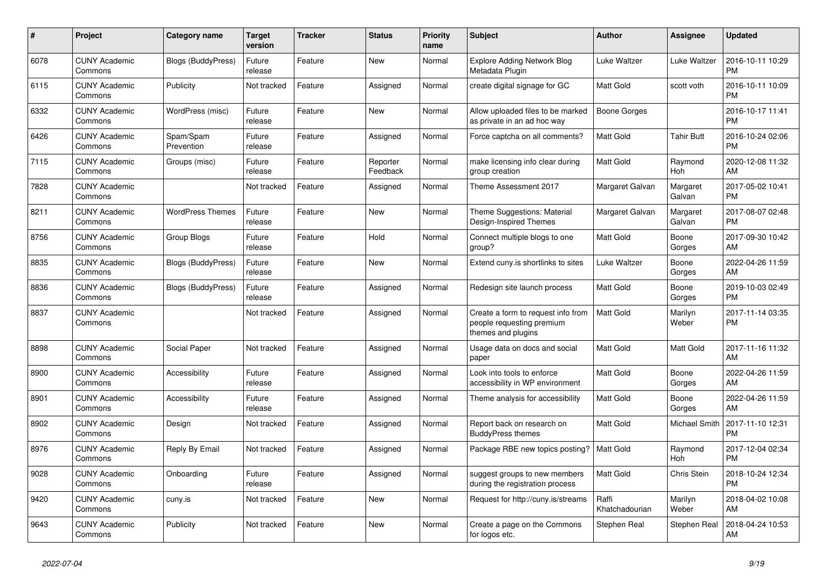| #    | <b>Project</b>                  | <b>Category name</b>      | <b>Target</b><br>version | <b>Tracker</b> | <b>Status</b>        | Priority<br>name | <b>Subject</b>                                                                        | <b>Author</b>           | Assignee             | <b>Updated</b>                |
|------|---------------------------------|---------------------------|--------------------------|----------------|----------------------|------------------|---------------------------------------------------------------------------------------|-------------------------|----------------------|-------------------------------|
| 6078 | <b>CUNY Academic</b><br>Commons | <b>Blogs (BuddyPress)</b> | Future<br>release        | Feature        | New                  | Normal           | <b>Explore Adding Network Blog</b><br>Metadata Plugin                                 | Luke Waltzer            | Luke Waltzer         | 2016-10-11 10:29<br><b>PM</b> |
| 6115 | <b>CUNY Academic</b><br>Commons | Publicity                 | Not tracked              | Feature        | Assigned             | Normal           | create digital signage for GC                                                         | Matt Gold               | scott voth           | 2016-10-11 10:09<br><b>PM</b> |
| 6332 | <b>CUNY Academic</b><br>Commons | WordPress (misc)          | Future<br>release        | Feature        | New                  | Normal           | Allow uploaded files to be marked<br>as private in an ad hoc way                      | Boone Gorges            |                      | 2016-10-17 11:41<br><b>PM</b> |
| 6426 | <b>CUNY Academic</b><br>Commons | Spam/Spam<br>Prevention   | Future<br>release        | Feature        | Assigned             | Normal           | Force captcha on all comments?                                                        | <b>Matt Gold</b>        | <b>Tahir Butt</b>    | 2016-10-24 02:06<br><b>PM</b> |
| 7115 | <b>CUNY Academic</b><br>Commons | Groups (misc)             | Future<br>release        | Feature        | Reporter<br>Feedback | Normal           | make licensing info clear during<br>group creation                                    | Matt Gold               | Raymond<br>Hoh       | 2020-12-08 11:32<br>AM        |
| 7828 | <b>CUNY Academic</b><br>Commons |                           | Not tracked              | Feature        | Assigned             | Normal           | Theme Assessment 2017                                                                 | Margaret Galvan         | Margaret<br>Galvan   | 2017-05-02 10:41<br><b>PM</b> |
| 8211 | <b>CUNY Academic</b><br>Commons | <b>WordPress Themes</b>   | Future<br>release        | Feature        | <b>New</b>           | Normal           | Theme Suggestions: Material<br>Design-Inspired Themes                                 | Margaret Galvan         | Margaret<br>Galvan   | 2017-08-07 02:48<br><b>PM</b> |
| 8756 | <b>CUNY Academic</b><br>Commons | Group Blogs               | Future<br>release        | Feature        | Hold                 | Normal           | Connect multiple blogs to one<br>group?                                               | <b>Matt Gold</b>        | Boone<br>Gorges      | 2017-09-30 10:42<br>AM        |
| 8835 | <b>CUNY Academic</b><br>Commons | <b>Blogs (BuddyPress)</b> | Future<br>release        | Feature        | New                  | Normal           | Extend cuny.is shortlinks to sites                                                    | Luke Waltzer            | Boone<br>Gorges      | 2022-04-26 11:59<br>AM        |
| 8836 | <b>CUNY Academic</b><br>Commons | <b>Blogs (BuddyPress)</b> | Future<br>release        | Feature        | Assigned             | Normal           | Redesign site launch process                                                          | Matt Gold               | Boone<br>Gorges      | 2019-10-03 02:49<br><b>PM</b> |
| 8837 | <b>CUNY Academic</b><br>Commons |                           | Not tracked              | Feature        | Assigned             | Normal           | Create a form to request info from<br>people requesting premium<br>themes and plugins | <b>Matt Gold</b>        | Marilyn<br>Weber     | 2017-11-14 03:35<br><b>PM</b> |
| 8898 | <b>CUNY Academic</b><br>Commons | Social Paper              | Not tracked              | Feature        | Assigned             | Normal           | Usage data on docs and social<br>paper                                                | <b>Matt Gold</b>        | Matt Gold            | 2017-11-16 11:32<br>AM        |
| 8900 | <b>CUNY Academic</b><br>Commons | Accessibility             | Future<br>release        | Feature        | Assigned             | Normal           | Look into tools to enforce<br>accessibility in WP environment                         | Matt Gold               | Boone<br>Gorges      | 2022-04-26 11:59<br>AM        |
| 8901 | <b>CUNY Academic</b><br>Commons | Accessibility             | Future<br>release        | Feature        | Assigned             | Normal           | Theme analysis for accessibility                                                      | Matt Gold               | Boone<br>Gorges      | 2022-04-26 11:59<br>AM        |
| 8902 | <b>CUNY Academic</b><br>Commons | Design                    | Not tracked              | Feature        | Assigned             | Normal           | Report back on research on<br><b>BuddyPress themes</b>                                | Matt Gold               | <b>Michael Smith</b> | 2017-11-10 12:31<br><b>PM</b> |
| 8976 | <b>CUNY Academic</b><br>Commons | Reply By Email            | Not tracked              | Feature        | Assigned             | Normal           | Package RBE new topics posting?                                                       | <b>Matt Gold</b>        | Raymond<br>Hoh       | 2017-12-04 02:34<br><b>PM</b> |
| 9028 | <b>CUNY Academic</b><br>Commons | Onboarding                | Future<br>release        | Feature        | Assigned             | Normal           | suggest groups to new members<br>during the registration process                      | <b>Matt Gold</b>        | Chris Stein          | 2018-10-24 12:34<br><b>PM</b> |
| 9420 | <b>CUNY Academic</b><br>Commons | cuny.is                   | Not tracked              | Feature        | New                  | Normal           | Request for http://cuny.is/streams                                                    | Raffi<br>Khatchadourian | Marilyn<br>Weber     | 2018-04-02 10:08<br>AM        |
| 9643 | <b>CUNY Academic</b><br>Commons | Publicity                 | Not tracked              | Feature        | <b>New</b>           | Normal           | Create a page on the Commons<br>for logos etc.                                        | Stephen Real            | Stephen Real         | 2018-04-24 10:53<br>AM        |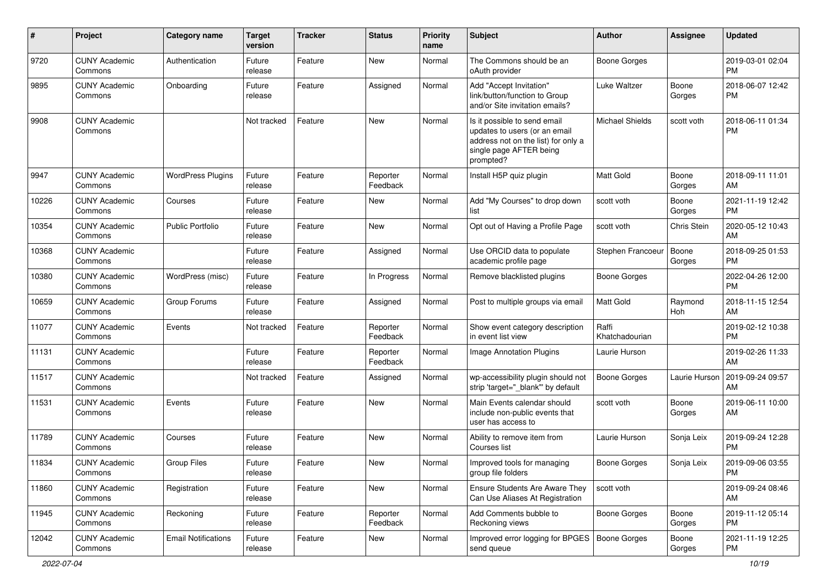| #     | Project                         | <b>Category name</b>       | <b>Target</b><br>version | Tracker | <b>Status</b>        | <b>Priority</b><br>name | <b>Subject</b>                                                                                                                               | <b>Author</b>           | Assignee        | <b>Updated</b>                |
|-------|---------------------------------|----------------------------|--------------------------|---------|----------------------|-------------------------|----------------------------------------------------------------------------------------------------------------------------------------------|-------------------------|-----------------|-------------------------------|
| 9720  | <b>CUNY Academic</b><br>Commons | Authentication             | Future<br>release        | Feature | <b>New</b>           | Normal                  | The Commons should be an<br>oAuth provider                                                                                                   | <b>Boone Gorges</b>     |                 | 2019-03-01 02:04<br><b>PM</b> |
| 9895  | <b>CUNY Academic</b><br>Commons | Onboarding                 | Future<br>release        | Feature | Assigned             | Normal                  | Add "Accept Invitation"<br>link/button/function to Group<br>and/or Site invitation emails?                                                   | Luke Waltzer            | Boone<br>Gorges | 2018-06-07 12:42<br><b>PM</b> |
| 9908  | <b>CUNY Academic</b><br>Commons |                            | Not tracked              | Feature | <b>New</b>           | Normal                  | Is it possible to send email<br>updates to users (or an email<br>address not on the list) for only a<br>single page AFTER being<br>prompted? | <b>Michael Shields</b>  | scott voth      | 2018-06-11 01:34<br><b>PM</b> |
| 9947  | <b>CUNY Academic</b><br>Commons | <b>WordPress Plugins</b>   | Future<br>release        | Feature | Reporter<br>Feedback | Normal                  | Install H5P quiz plugin                                                                                                                      | Matt Gold               | Boone<br>Gorges | 2018-09-11 11:01<br>AM        |
| 10226 | <b>CUNY Academic</b><br>Commons | Courses                    | Future<br>release        | Feature | New                  | Normal                  | Add "My Courses" to drop down<br>list                                                                                                        | scott voth              | Boone<br>Gorges | 2021-11-19 12:42<br><b>PM</b> |
| 10354 | <b>CUNY Academic</b><br>Commons | Public Portfolio           | Future<br>release        | Feature | <b>New</b>           | Normal                  | Opt out of Having a Profile Page                                                                                                             | scott voth              | Chris Stein     | 2020-05-12 10:43<br>AM        |
| 10368 | <b>CUNY Academic</b><br>Commons |                            | Future<br>release        | Feature | Assigned             | Normal                  | Use ORCID data to populate<br>academic profile page                                                                                          | Stephen Francoeur       | Boone<br>Gorges | 2018-09-25 01:53<br><b>PM</b> |
| 10380 | <b>CUNY Academic</b><br>Commons | WordPress (misc)           | Future<br>release        | Feature | In Progress          | Normal                  | Remove blacklisted plugins                                                                                                                   | <b>Boone Gorges</b>     |                 | 2022-04-26 12:00<br><b>PM</b> |
| 10659 | <b>CUNY Academic</b><br>Commons | Group Forums               | Future<br>release        | Feature | Assigned             | Normal                  | Post to multiple groups via email                                                                                                            | <b>Matt Gold</b>        | Raymond<br>Hoh  | 2018-11-15 12:54<br>AM        |
| 11077 | <b>CUNY Academic</b><br>Commons | Events                     | Not tracked              | Feature | Reporter<br>Feedback | Normal                  | Show event category description<br>in event list view                                                                                        | Raffi<br>Khatchadourian |                 | 2019-02-12 10:38<br><b>PM</b> |
| 11131 | <b>CUNY Academic</b><br>Commons |                            | Future<br>release        | Feature | Reporter<br>Feedback | Normal                  | Image Annotation Plugins                                                                                                                     | Laurie Hurson           |                 | 2019-02-26 11:33<br>AM        |
| 11517 | <b>CUNY Academic</b><br>Commons |                            | Not tracked              | Feature | Assigned             | Normal                  | wp-accessibility plugin should not<br>strip 'target="_blank" by default                                                                      | <b>Boone Gorges</b>     | Laurie Hurson   | 2019-09-24 09:57<br>AM        |
| 11531 | <b>CUNY Academic</b><br>Commons | Events                     | Future<br>release        | Feature | <b>New</b>           | Normal                  | Main Events calendar should<br>include non-public events that<br>user has access to                                                          | scott voth              | Boone<br>Gorges | 2019-06-11 10:00<br>AM        |
| 11789 | <b>CUNY Academic</b><br>Commons | Courses                    | Future<br>release        | Feature | <b>New</b>           | Normal                  | Ability to remove item from<br>Courses list                                                                                                  | Laurie Hurson           | Sonja Leix      | 2019-09-24 12:28<br><b>PM</b> |
| 11834 | <b>CUNY Academic</b><br>Commons | <b>Group Files</b>         | Future<br>release        | Feature | <b>New</b>           | Normal                  | Improved tools for managing<br>group file folders                                                                                            | Boone Gorges            | Sonja Leix      | 2019-09-06 03:55<br>PM        |
| 11860 | <b>CUNY Academic</b><br>Commons | Registration               | Future<br>release        | Feature | New                  | Normal                  | Ensure Students Are Aware They<br>Can Use Aliases At Registration                                                                            | scott voth              |                 | 2019-09-24 08:46<br>AM        |
| 11945 | <b>CUNY Academic</b><br>Commons | Reckoning                  | Future<br>release        | Feature | Reporter<br>Feedback | Normal                  | Add Comments bubble to<br>Reckoning views                                                                                                    | <b>Boone Gorges</b>     | Boone<br>Gorges | 2019-11-12 05:14<br><b>PM</b> |
| 12042 | <b>CUNY Academic</b><br>Commons | <b>Email Notifications</b> | Future<br>release        | Feature | New                  | Normal                  | Improved error logging for BPGES   Boone Gorges<br>send queue                                                                                |                         | Boone<br>Gorges | 2021-11-19 12:25<br>PM        |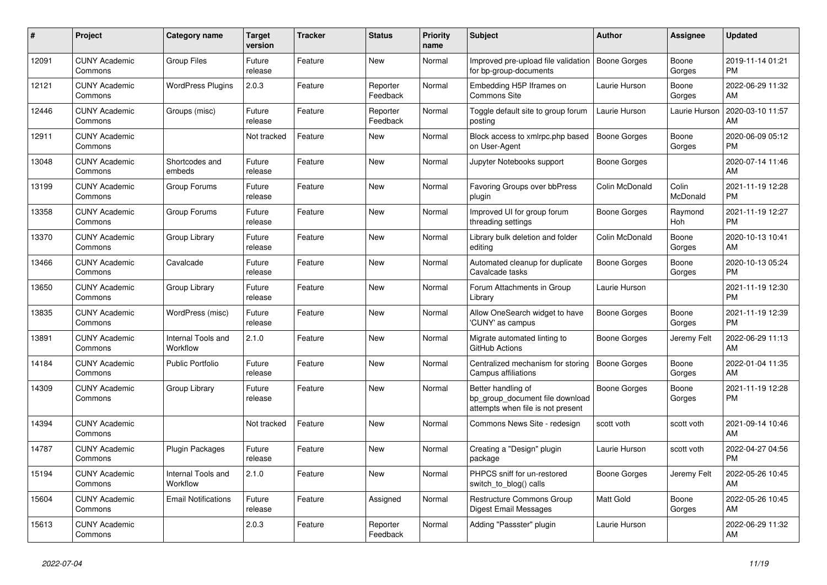| #     | <b>Project</b>                  | Category name                  | <b>Target</b><br>version | <b>Tracker</b> | <b>Status</b>        | <b>Priority</b><br>name | <b>Subject</b>                                                                             | <b>Author</b>    | Assignee          | <b>Updated</b>                |
|-------|---------------------------------|--------------------------------|--------------------------|----------------|----------------------|-------------------------|--------------------------------------------------------------------------------------------|------------------|-------------------|-------------------------------|
| 12091 | <b>CUNY Academic</b><br>Commons | <b>Group Files</b>             | Future<br>release        | Feature        | New                  | Normal                  | Improved pre-upload file validation<br>for bp-group-documents                              | Boone Gorges     | Boone<br>Gorges   | 2019-11-14 01:21<br><b>PM</b> |
| 12121 | <b>CUNY Academic</b><br>Commons | <b>WordPress Plugins</b>       | 2.0.3                    | Feature        | Reporter<br>Feedback | Normal                  | Embedding H5P Iframes on<br><b>Commons Site</b>                                            | Laurie Hurson    | Boone<br>Gorges   | 2022-06-29 11:32<br>AM        |
| 12446 | <b>CUNY Academic</b><br>Commons | Groups (misc)                  | Future<br>release        | Feature        | Reporter<br>Feedback | Normal                  | Toggle default site to group forum<br>posting                                              | Laurie Hurson    | Laurie Hurson     | 2020-03-10 11:57<br>AM        |
| 12911 | <b>CUNY Academic</b><br>Commons |                                | Not tracked              | Feature        | <b>New</b>           | Normal                  | Block access to xmlrpc.php based<br>on User-Agent                                          | Boone Gorges     | Boone<br>Gorges   | 2020-06-09 05:12<br><b>PM</b> |
| 13048 | <b>CUNY Academic</b><br>Commons | Shortcodes and<br>embeds       | Future<br>release        | Feature        | <b>New</b>           | Normal                  | Jupyter Notebooks support                                                                  | Boone Gorges     |                   | 2020-07-14 11:46<br>AM        |
| 13199 | <b>CUNY Academic</b><br>Commons | Group Forums                   | Future<br>release        | Feature        | New                  | Normal                  | Favoring Groups over bbPress<br>plugin                                                     | Colin McDonald   | Colin<br>McDonald | 2021-11-19 12:28<br><b>PM</b> |
| 13358 | <b>CUNY Academic</b><br>Commons | Group Forums                   | Future<br>release        | Feature        | <b>New</b>           | Normal                  | Improved UI for group forum<br>threading settings                                          | Boone Gorges     | Raymond<br>Hoh    | 2021-11-19 12:27<br><b>PM</b> |
| 13370 | <b>CUNY Academic</b><br>Commons | Group Library                  | Future<br>release        | Feature        | <b>New</b>           | Normal                  | Library bulk deletion and folder<br>editing                                                | Colin McDonald   | Boone<br>Gorges   | 2020-10-13 10:41<br>AM        |
| 13466 | <b>CUNY Academic</b><br>Commons | Cavalcade                      | Future<br>release        | Feature        | New                  | Normal                  | Automated cleanup for duplicate<br>Cavalcade tasks                                         | Boone Gorges     | Boone<br>Gorges   | 2020-10-13 05:24<br><b>PM</b> |
| 13650 | <b>CUNY Academic</b><br>Commons | Group Library                  | Future<br>release        | Feature        | New                  | Normal                  | Forum Attachments in Group<br>Library                                                      | Laurie Hurson    |                   | 2021-11-19 12:30<br><b>PM</b> |
| 13835 | <b>CUNY Academic</b><br>Commons | WordPress (misc)               | Future<br>release        | Feature        | <b>New</b>           | Normal                  | Allow OneSearch widget to have<br>'CUNY' as campus                                         | Boone Gorges     | Boone<br>Gorges   | 2021-11-19 12:39<br><b>PM</b> |
| 13891 | <b>CUNY Academic</b><br>Commons | Internal Tools and<br>Workflow | 2.1.0                    | Feature        | <b>New</b>           | Normal                  | Migrate automated linting to<br>GitHub Actions                                             | Boone Gorges     | Jeremy Felt       | 2022-06-29 11:13<br>AM        |
| 14184 | <b>CUNY Academic</b><br>Commons | <b>Public Portfolio</b>        | Future<br>release        | Feature        | New                  | Normal                  | Centralized mechanism for storing<br>Campus affiliations                                   | Boone Gorges     | Boone<br>Gorges   | 2022-01-04 11:35<br>AM        |
| 14309 | <b>CUNY Academic</b><br>Commons | Group Library                  | Future<br>release        | Feature        | <b>New</b>           | Normal                  | Better handling of<br>bp_group_document file download<br>attempts when file is not present | Boone Gorges     | Boone<br>Gorges   | 2021-11-19 12:28<br><b>PM</b> |
| 14394 | <b>CUNY Academic</b><br>Commons |                                | Not tracked              | Feature        | <b>New</b>           | Normal                  | Commons News Site - redesign                                                               | scott voth       | scott voth        | 2021-09-14 10:46<br>AM        |
| 14787 | <b>CUNY Academic</b><br>Commons | Plugin Packages                | Future<br>release        | Feature        | New                  | Normal                  | Creating a "Design" plugin<br>package                                                      | Laurie Hurson    | scott voth        | 2022-04-27 04:56<br><b>PM</b> |
| 15194 | <b>CUNY Academic</b><br>Commons | Internal Tools and<br>Workflow | 2.1.0                    | Feature        | <b>New</b>           | Normal                  | PHPCS sniff for un-restored<br>switch to blog() calls                                      | Boone Gorges     | Jeremy Felt       | 2022-05-26 10:45<br>AM        |
| 15604 | <b>CUNY Academic</b><br>Commons | <b>Email Notifications</b>     | Future<br>release        | Feature        | Assigned             | Normal                  | Restructure Commons Group<br><b>Digest Email Messages</b>                                  | <b>Matt Gold</b> | Boone<br>Gorges   | 2022-05-26 10:45<br>AM        |
| 15613 | <b>CUNY Academic</b><br>Commons |                                | 2.0.3                    | Feature        | Reporter<br>Feedback | Normal                  | Adding "Passster" plugin                                                                   | Laurie Hurson    |                   | 2022-06-29 11:32<br>AM        |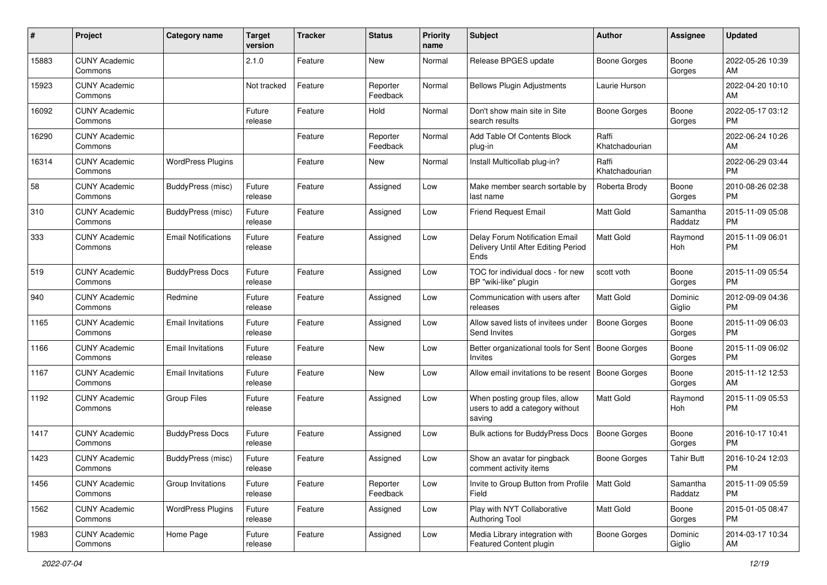| #     | Project                         | <b>Category name</b>       | Target<br>version | <b>Tracker</b> | <b>Status</b>        | <b>Priority</b><br>name | <b>Subject</b>                                                                | <b>Author</b>           | Assignee            | <b>Updated</b>                |
|-------|---------------------------------|----------------------------|-------------------|----------------|----------------------|-------------------------|-------------------------------------------------------------------------------|-------------------------|---------------------|-------------------------------|
| 15883 | <b>CUNY Academic</b><br>Commons |                            | 2.1.0             | Feature        | New                  | Normal                  | Release BPGES update                                                          | Boone Gorges            | Boone<br>Gorges     | 2022-05-26 10:39<br>AM        |
| 15923 | <b>CUNY Academic</b><br>Commons |                            | Not tracked       | Feature        | Reporter<br>Feedback | Normal                  | <b>Bellows Plugin Adjustments</b>                                             | Laurie Hurson           |                     | 2022-04-20 10:10<br>AM        |
| 16092 | <b>CUNY Academic</b><br>Commons |                            | Future<br>release | Feature        | Hold                 | Normal                  | Don't show main site in Site<br>search results                                | Boone Gorges            | Boone<br>Gorges     | 2022-05-17 03:12<br>PM        |
| 16290 | <b>CUNY Academic</b><br>Commons |                            |                   | Feature        | Reporter<br>Feedback | Normal                  | Add Table Of Contents Block<br>plug-in                                        | Raffi<br>Khatchadourian |                     | 2022-06-24 10:26<br>AM        |
| 16314 | <b>CUNY Academic</b><br>Commons | <b>WordPress Plugins</b>   |                   | Feature        | New                  | Normal                  | Install Multicollab plug-in?                                                  | Raffi<br>Khatchadourian |                     | 2022-06-29 03:44<br><b>PM</b> |
| 58    | <b>CUNY Academic</b><br>Commons | BuddyPress (misc)          | Future<br>release | Feature        | Assigned             | Low                     | Make member search sortable by<br>last name                                   | Roberta Brody           | Boone<br>Gorges     | 2010-08-26 02:38<br><b>PM</b> |
| 310   | <b>CUNY Academic</b><br>Commons | BuddyPress (misc)          | Future<br>release | Feature        | Assigned             | Low                     | <b>Friend Request Email</b>                                                   | Matt Gold               | Samantha<br>Raddatz | 2015-11-09 05:08<br><b>PM</b> |
| 333   | <b>CUNY Academic</b><br>Commons | <b>Email Notifications</b> | Future<br>release | Feature        | Assigned             | Low                     | Delay Forum Notification Email<br>Delivery Until After Editing Period<br>Ends | <b>Matt Gold</b>        | Raymond<br>Hoh      | 2015-11-09 06:01<br>PM.       |
| 519   | <b>CUNY Academic</b><br>Commons | <b>BuddyPress Docs</b>     | Future<br>release | Feature        | Assigned             | Low                     | TOC for individual docs - for new<br>BP "wiki-like" plugin                    | scott voth              | Boone<br>Gorges     | 2015-11-09 05:54<br>PM.       |
| 940   | <b>CUNY Academic</b><br>Commons | Redmine                    | Future<br>release | Feature        | Assigned             | Low                     | Communication with users after<br>releases                                    | <b>Matt Gold</b>        | Dominic<br>Giglio   | 2012-09-09 04:36<br><b>PM</b> |
| 1165  | <b>CUNY Academic</b><br>Commons | <b>Email Invitations</b>   | Future<br>release | Feature        | Assigned             | Low                     | Allow saved lists of invitees under<br>Send Invites                           | <b>Boone Gorges</b>     | Boone<br>Gorges     | 2015-11-09 06:03<br><b>PM</b> |
| 1166  | <b>CUNY Academic</b><br>Commons | <b>Email Invitations</b>   | Future<br>release | Feature        | New                  | Low                     | Better organizational tools for Sent<br>Invites                               | <b>Boone Gorges</b>     | Boone<br>Gorges     | 2015-11-09 06:02<br><b>PM</b> |
| 1167  | <b>CUNY Academic</b><br>Commons | <b>Email Invitations</b>   | Future<br>release | Feature        | <b>New</b>           | Low                     | Allow email invitations to be resent                                          | Boone Gorges            | Boone<br>Gorges     | 2015-11-12 12:53<br>AM        |
| 1192  | <b>CUNY Academic</b><br>Commons | <b>Group Files</b>         | Future<br>release | Feature        | Assigned             | Low                     | When posting group files, allow<br>users to add a category without<br>saving  | Matt Gold               | Raymond<br>Hoh      | 2015-11-09 05:53<br><b>PM</b> |
| 1417  | <b>CUNY Academic</b><br>Commons | <b>BuddyPress Docs</b>     | Future<br>release | Feature        | Assigned             | Low                     | Bulk actions for BuddyPress Docs                                              | <b>Boone Gorges</b>     | Boone<br>Gorges     | 2016-10-17 10:41<br><b>PM</b> |
| 1423  | <b>CUNY Academic</b><br>Commons | BuddyPress (misc)          | Future<br>release | Feature        | Assigned             | Low                     | Show an avatar for pingback<br>comment activity items                         | <b>Boone Gorges</b>     | <b>Tahir Butt</b>   | 2016-10-24 12:03<br>PM        |
| 1456  | <b>CUNY Academic</b><br>Commons | Group Invitations          | Future<br>release | Feature        | Reporter<br>Feedback | Low                     | Invite to Group Button from Profile<br>Field                                  | Matt Gold               | Samantha<br>Raddatz | 2015-11-09 05:59<br><b>PM</b> |
| 1562  | <b>CUNY Academic</b><br>Commons | <b>WordPress Plugins</b>   | Future<br>release | Feature        | Assigned             | Low                     | Play with NYT Collaborative<br>Authoring Tool                                 | Matt Gold               | Boone<br>Gorges     | 2015-01-05 08:47<br><b>PM</b> |
| 1983  | <b>CUNY Academic</b><br>Commons | Home Page                  | Future<br>release | Feature        | Assigned             | Low                     | Media Library integration with<br>Featured Content plugin                     | Boone Gorges            | Dominic<br>Giglio   | 2014-03-17 10:34<br>AM        |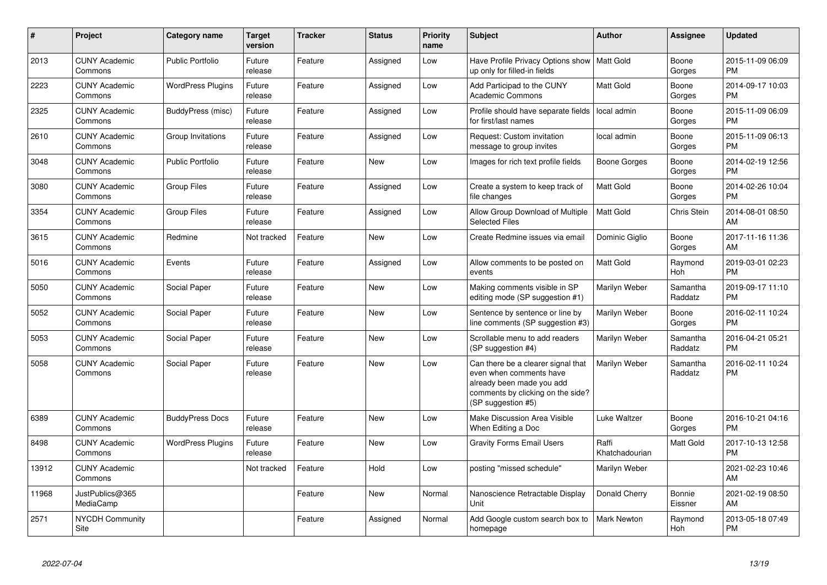| #     | <b>Project</b>                  | Category name            | Target<br>version | <b>Tracker</b> | <b>Status</b> | <b>Priority</b><br>name | <b>Subject</b>                                                                                                                                        | <b>Author</b>           | Assignee            | <b>Updated</b>                |
|-------|---------------------------------|--------------------------|-------------------|----------------|---------------|-------------------------|-------------------------------------------------------------------------------------------------------------------------------------------------------|-------------------------|---------------------|-------------------------------|
| 2013  | <b>CUNY Academic</b><br>Commons | <b>Public Portfolio</b>  | Future<br>release | Feature        | Assigned      | Low                     | Have Profile Privacy Options show<br>up only for filled-in fields                                                                                     | l Matt Gold             | Boone<br>Gorges     | 2015-11-09 06:09<br><b>PM</b> |
| 2223  | <b>CUNY Academic</b><br>Commons | <b>WordPress Plugins</b> | Future<br>release | Feature        | Assigned      | Low                     | Add Participad to the CUNY<br><b>Academic Commons</b>                                                                                                 | <b>Matt Gold</b>        | Boone<br>Gorges     | 2014-09-17 10:03<br><b>PM</b> |
| 2325  | <b>CUNY Academic</b><br>Commons | BuddyPress (misc)        | Future<br>release | Feature        | Assigned      | Low                     | Profile should have separate fields<br>for first/last names                                                                                           | local admin             | Boone<br>Gorges     | 2015-11-09 06:09<br><b>PM</b> |
| 2610  | <b>CUNY Academic</b><br>Commons | Group Invitations        | Future<br>release | Feature        | Assigned      | Low                     | Request: Custom invitation<br>message to group invites                                                                                                | local admin             | Boone<br>Gorges     | 2015-11-09 06:13<br><b>PM</b> |
| 3048  | <b>CUNY Academic</b><br>Commons | <b>Public Portfolio</b>  | Future<br>release | Feature        | New           | Low                     | Images for rich text profile fields                                                                                                                   | Boone Gorges            | Boone<br>Gorges     | 2014-02-19 12:56<br><b>PM</b> |
| 3080  | <b>CUNY Academic</b><br>Commons | <b>Group Files</b>       | Future<br>release | Feature        | Assigned      | Low                     | Create a system to keep track of<br>file changes                                                                                                      | <b>Matt Gold</b>        | Boone<br>Gorges     | 2014-02-26 10:04<br><b>PM</b> |
| 3354  | <b>CUNY Academic</b><br>Commons | <b>Group Files</b>       | Future<br>release | Feature        | Assigned      | Low                     | Allow Group Download of Multiple<br><b>Selected Files</b>                                                                                             | <b>Matt Gold</b>        | <b>Chris Stein</b>  | 2014-08-01 08:50<br>AM        |
| 3615  | <b>CUNY Academic</b><br>Commons | Redmine                  | Not tracked       | Feature        | <b>New</b>    | Low                     | Create Redmine issues via email                                                                                                                       | Dominic Giglio          | Boone<br>Gorges     | 2017-11-16 11:36<br>AM        |
| 5016  | <b>CUNY Academic</b><br>Commons | Events                   | Future<br>release | Feature        | Assigned      | Low                     | Allow comments to be posted on<br>events                                                                                                              | <b>Matt Gold</b>        | Raymond<br>Hoh      | 2019-03-01 02:23<br><b>PM</b> |
| 5050  | <b>CUNY Academic</b><br>Commons | Social Paper             | Future<br>release | Feature        | New           | Low                     | Making comments visible in SP<br>editing mode (SP suggestion #1)                                                                                      | Marilyn Weber           | Samantha<br>Raddatz | 2019-09-17 11:10<br><b>PM</b> |
| 5052  | <b>CUNY Academic</b><br>Commons | Social Paper             | Future<br>release | Feature        | New           | Low                     | Sentence by sentence or line by<br>line comments (SP suggestion #3)                                                                                   | Marilyn Weber           | Boone<br>Gorges     | 2016-02-11 10:24<br><b>PM</b> |
| 5053  | <b>CUNY Academic</b><br>Commons | Social Paper             | Future<br>release | Feature        | <b>New</b>    | Low                     | Scrollable menu to add readers<br>(SP suggestion #4)                                                                                                  | Marilyn Weber           | Samantha<br>Raddatz | 2016-04-21 05:21<br><b>PM</b> |
| 5058  | <b>CUNY Academic</b><br>Commons | Social Paper             | Future<br>release | Feature        | <b>New</b>    | Low                     | Can there be a clearer signal that<br>even when comments have<br>already been made you add<br>comments by clicking on the side?<br>(SP suggestion #5) | Marilyn Weber           | Samantha<br>Raddatz | 2016-02-11 10:24<br><b>PM</b> |
| 6389  | <b>CUNY Academic</b><br>Commons | <b>BuddyPress Docs</b>   | Future<br>release | Feature        | <b>New</b>    | Low                     | <b>Make Discussion Area Visible</b><br>When Editing a Doc                                                                                             | Luke Waltzer            | Boone<br>Gorges     | 2016-10-21 04:16<br><b>PM</b> |
| 8498  | <b>CUNY Academic</b><br>Commons | <b>WordPress Plugins</b> | Future<br>release | Feature        | <b>New</b>    | Low                     | <b>Gravity Forms Email Users</b>                                                                                                                      | Raffi<br>Khatchadourian | Matt Gold           | 2017-10-13 12:58<br><b>PM</b> |
| 13912 | <b>CUNY Academic</b><br>Commons |                          | Not tracked       | Feature        | Hold          | Low                     | posting "missed schedule"                                                                                                                             | Marilyn Weber           |                     | 2021-02-23 10:46<br>AM        |
| 11968 | JustPublics@365<br>MediaCamp    |                          |                   | Feature        | New           | Normal                  | Nanoscience Retractable Display<br>Unit                                                                                                               | Donald Cherry           | Bonnie<br>Eissner   | 2021-02-19 08:50<br>AM        |
| 2571  | <b>NYCDH Community</b><br>Site  |                          |                   | Feature        | Assigned      | Normal                  | Add Google custom search box to<br>homepage                                                                                                           | Mark Newton             | Raymond<br>Hoh      | 2013-05-18 07:49<br>PM        |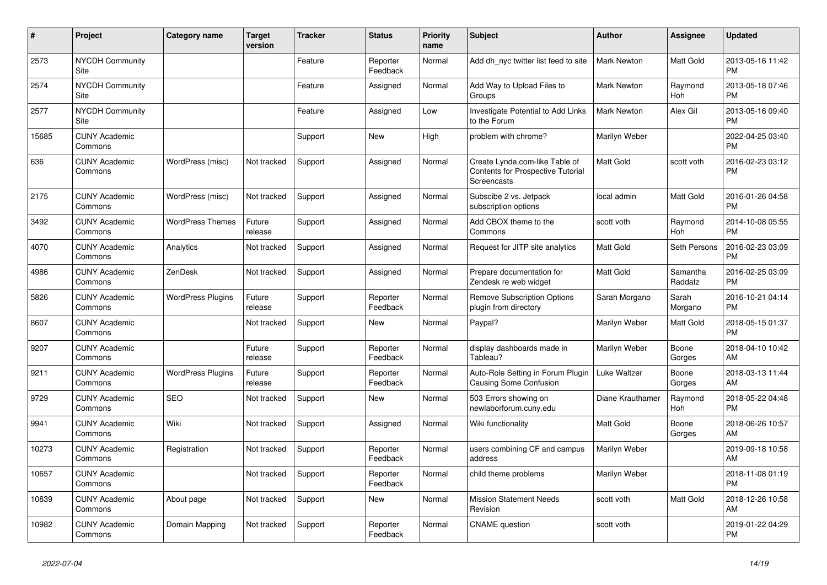| #     | Project                               | <b>Category name</b>     | <b>Target</b><br>version | <b>Tracker</b> | <b>Status</b>        | <b>Priority</b><br>name | <b>Subject</b>                                                                            | <b>Author</b>      | <b>Assignee</b>     | <b>Updated</b>                |
|-------|---------------------------------------|--------------------------|--------------------------|----------------|----------------------|-------------------------|-------------------------------------------------------------------------------------------|--------------------|---------------------|-------------------------------|
| 2573  | <b>NYCDH Community</b><br>Site        |                          |                          | Feature        | Reporter<br>Feedback | Normal                  | Add dh nyc twitter list feed to site                                                      | Mark Newton        | Matt Gold           | 2013-05-16 11:42<br><b>PM</b> |
| 2574  | <b>NYCDH Community</b><br>Site        |                          |                          | Feature        | Assigned             | Normal                  | Add Way to Upload Files to<br>Groups                                                      | <b>Mark Newton</b> | Raymond<br>Hoh      | 2013-05-18 07:46<br><b>PM</b> |
| 2577  | <b>NYCDH Community</b><br><b>Site</b> |                          |                          | Feature        | Assigned             | Low                     | Investigate Potential to Add Links<br>to the Forum                                        | <b>Mark Newton</b> | Alex Gil            | 2013-05-16 09:40<br><b>PM</b> |
| 15685 | <b>CUNY Academic</b><br>Commons       |                          |                          | Support        | <b>New</b>           | High                    | problem with chrome?                                                                      | Marilyn Weber      |                     | 2022-04-25 03:40<br><b>PM</b> |
| 636   | <b>CUNY Academic</b><br>Commons       | WordPress (misc)         | Not tracked              | Support        | Assigned             | Normal                  | Create Lynda.com-like Table of<br>Contents for Prospective Tutorial<br><b>Screencasts</b> | <b>Matt Gold</b>   | scott voth          | 2016-02-23 03:12<br><b>PM</b> |
| 2175  | <b>CUNY Academic</b><br>Commons       | WordPress (misc)         | Not tracked              | Support        | Assigned             | Normal                  | Subscibe 2 vs. Jetpack<br>subscription options                                            | local admin        | Matt Gold           | 2016-01-26 04:58<br><b>PM</b> |
| 3492  | <b>CUNY Academic</b><br>Commons       | <b>WordPress Themes</b>  | Future<br>release        | Support        | Assigned             | Normal                  | Add CBOX theme to the<br>Commons                                                          | scott voth         | Raymond<br>Hoh      | 2014-10-08 05:55<br><b>PM</b> |
| 4070  | <b>CUNY Academic</b><br>Commons       | Analytics                | Not tracked              | Support        | Assigned             | Normal                  | Request for JITP site analytics                                                           | <b>Matt Gold</b>   | Seth Persons        | 2016-02-23 03:09<br><b>PM</b> |
| 4986  | <b>CUNY Academic</b><br>Commons       | ZenDesk                  | Not tracked              | Support        | Assigned             | Normal                  | Prepare documentation for<br>Zendesk re web widget                                        | <b>Matt Gold</b>   | Samantha<br>Raddatz | 2016-02-25 03:09<br><b>PM</b> |
| 5826  | <b>CUNY Academic</b><br>Commons       | <b>WordPress Plugins</b> | Future<br>release        | Support        | Reporter<br>Feedback | Normal                  | <b>Remove Subscription Options</b><br>plugin from directory                               | Sarah Morgano      | Sarah<br>Morgano    | 2016-10-21 04:14<br><b>PM</b> |
| 8607  | <b>CUNY Academic</b><br>Commons       |                          | Not tracked              | Support        | <b>New</b>           | Normal                  | Paypal?                                                                                   | Marilyn Weber      | Matt Gold           | 2018-05-15 01:37<br><b>PM</b> |
| 9207  | <b>CUNY Academic</b><br>Commons       |                          | Future<br>release        | Support        | Reporter<br>Feedback | Normal                  | display dashboards made in<br>Tableau?                                                    | Marilyn Weber      | Boone<br>Gorges     | 2018-04-10 10:42<br>AM        |
| 9211  | <b>CUNY Academic</b><br>Commons       | <b>WordPress Plugins</b> | Future<br>release        | Support        | Reporter<br>Feedback | Normal                  | Auto-Role Setting in Forum Plugin<br>Causing Some Confusion                               | Luke Waltzer       | Boone<br>Gorges     | 2018-03-13 11:44<br>AM        |
| 9729  | <b>CUNY Academic</b><br>Commons       | <b>SEO</b>               | Not tracked              | Support        | <b>New</b>           | Normal                  | 503 Errors showing on<br>newlaborforum.cuny.edu                                           | Diane Krauthamer   | Raymond<br>Hoh      | 2018-05-22 04:48<br><b>PM</b> |
| 9941  | <b>CUNY Academic</b><br>Commons       | Wiki                     | Not tracked              | Support        | Assigned             | Normal                  | Wiki functionality                                                                        | <b>Matt Gold</b>   | Boone<br>Gorges     | 2018-06-26 10:57<br>AM        |
| 10273 | <b>CUNY Academic</b><br>Commons       | Registration             | Not tracked              | Support        | Reporter<br>Feedback | Normal                  | users combining CF and campus<br>address                                                  | Marilyn Weber      |                     | 2019-09-18 10:58<br>AM        |
| 10657 | <b>CUNY Academic</b><br>Commons       |                          | Not tracked              | Support        | Reporter<br>Feedback | Normal                  | child theme problems                                                                      | Marilyn Weber      |                     | 2018-11-08 01:19<br><b>PM</b> |
| 10839 | <b>CUNY Academic</b><br>Commons       | About page               | Not tracked              | Support        | New                  | Normal                  | <b>Mission Statement Needs</b><br>Revision                                                | scott voth         | Matt Gold           | 2018-12-26 10:58<br>AM        |
| 10982 | <b>CUNY Academic</b><br>Commons       | Domain Mapping           | Not tracked              | Support        | Reporter<br>Feedback | Normal                  | <b>CNAME</b> question                                                                     | scott voth         |                     | 2019-01-22 04:29<br><b>PM</b> |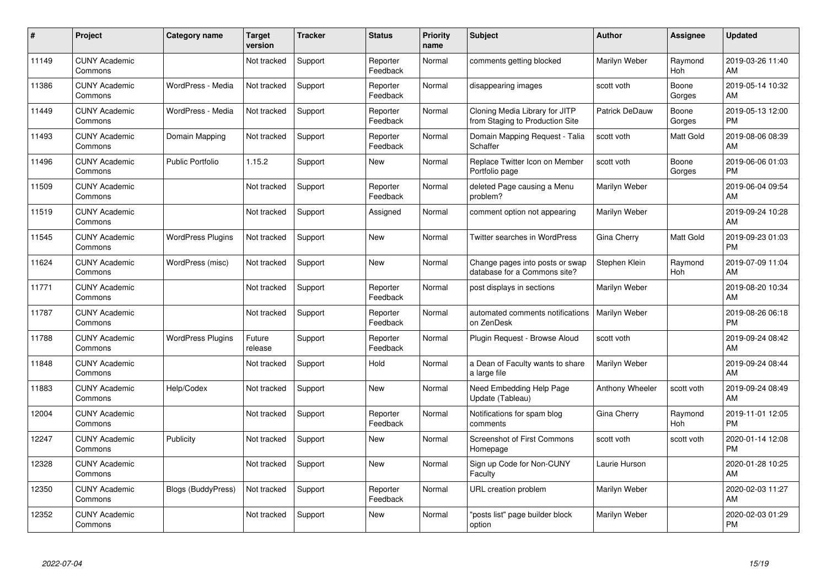| #     | Project                         | <b>Category name</b>     | <b>Target</b><br>version | <b>Tracker</b> | <b>Status</b>        | <b>Priority</b><br>name | <b>Subject</b>                                                    | <b>Author</b>         | <b>Assignee</b> | <b>Updated</b>                |
|-------|---------------------------------|--------------------------|--------------------------|----------------|----------------------|-------------------------|-------------------------------------------------------------------|-----------------------|-----------------|-------------------------------|
| 11149 | <b>CUNY Academic</b><br>Commons |                          | Not tracked              | Support        | Reporter<br>Feedback | Normal                  | comments getting blocked                                          | Marilyn Weber         | Raymond<br>Hoh  | 2019-03-26 11:40<br>AM        |
| 11386 | <b>CUNY Academic</b><br>Commons | WordPress - Media        | Not tracked              | Support        | Reporter<br>Feedback | Normal                  | disappearing images                                               | scott voth            | Boone<br>Gorges | 2019-05-14 10:32<br>AM        |
| 11449 | <b>CUNY Academic</b><br>Commons | WordPress - Media        | Not tracked              | Support        | Reporter<br>Feedback | Normal                  | Cloning Media Library for JITP<br>from Staging to Production Site | <b>Patrick DeDauw</b> | Boone<br>Gorges | 2019-05-13 12:00<br><b>PM</b> |
| 11493 | <b>CUNY Academic</b><br>Commons | Domain Mapping           | Not tracked              | Support        | Reporter<br>Feedback | Normal                  | Domain Mapping Request - Talia<br>Schaffer                        | scott voth            | Matt Gold       | 2019-08-06 08:39<br>AM        |
| 11496 | <b>CUNY Academic</b><br>Commons | <b>Public Portfolio</b>  | 1.15.2                   | Support        | <b>New</b>           | Normal                  | Replace Twitter Icon on Member<br>Portfolio page                  | scott voth            | Boone<br>Gorges | 2019-06-06 01:03<br><b>PM</b> |
| 11509 | <b>CUNY Academic</b><br>Commons |                          | Not tracked              | Support        | Reporter<br>Feedback | Normal                  | deleted Page causing a Menu<br>problem?                           | Marilyn Weber         |                 | 2019-06-04 09:54<br>AM        |
| 11519 | <b>CUNY Academic</b><br>Commons |                          | Not tracked              | Support        | Assigned             | Normal                  | comment option not appearing                                      | Marilyn Weber         |                 | 2019-09-24 10:28<br>AM        |
| 11545 | <b>CUNY Academic</b><br>Commons | <b>WordPress Plugins</b> | Not tracked              | Support        | <b>New</b>           | Normal                  | Twitter searches in WordPress                                     | Gina Cherry           | Matt Gold       | 2019-09-23 01:03<br><b>PM</b> |
| 11624 | <b>CUNY Academic</b><br>Commons | WordPress (misc)         | Not tracked              | Support        | <b>New</b>           | Normal                  | Change pages into posts or swap<br>database for a Commons site?   | Stephen Klein         | Raymond<br>Hoh  | 2019-07-09 11:04<br>AM        |
| 11771 | <b>CUNY Academic</b><br>Commons |                          | Not tracked              | Support        | Reporter<br>Feedback | Normal                  | post displays in sections                                         | Marilyn Weber         |                 | 2019-08-20 10:34<br>AM        |
| 11787 | <b>CUNY Academic</b><br>Commons |                          | Not tracked              | Support        | Reporter<br>Feedback | Normal                  | automated comments notifications<br>on ZenDesk                    | Marilyn Weber         |                 | 2019-08-26 06:18<br><b>PM</b> |
| 11788 | <b>CUNY Academic</b><br>Commons | <b>WordPress Plugins</b> | Future<br>release        | Support        | Reporter<br>Feedback | Normal                  | Plugin Request - Browse Aloud                                     | scott voth            |                 | 2019-09-24 08:42<br>AM        |
| 11848 | <b>CUNY Academic</b><br>Commons |                          | Not tracked              | Support        | Hold                 | Normal                  | a Dean of Faculty wants to share<br>a large file                  | Marilyn Weber         |                 | 2019-09-24 08:44<br>AM        |
| 11883 | <b>CUNY Academic</b><br>Commons | Help/Codex               | Not tracked              | Support        | New                  | Normal                  | Need Embedding Help Page<br>Update (Tableau)                      | Anthony Wheeler       | scott voth      | 2019-09-24 08:49<br>AM        |
| 12004 | <b>CUNY Academic</b><br>Commons |                          | Not tracked              | Support        | Reporter<br>Feedback | Normal                  | Notifications for spam blog<br>comments                           | Gina Cherry           | Raymond<br>Hoh  | 2019-11-01 12:05<br><b>PM</b> |
| 12247 | <b>CUNY Academic</b><br>Commons | Publicity                | Not tracked              | Support        | New                  | Normal                  | Screenshot of First Commons<br>Homepage                           | scott voth            | scott voth      | 2020-01-14 12:08<br><b>PM</b> |
| 12328 | <b>CUNY Academic</b><br>Commons |                          | Not tracked              | Support        | New                  | Normal                  | Sign up Code for Non-CUNY<br>Faculty                              | Laurie Hurson         |                 | 2020-01-28 10:25<br>AM        |
| 12350 | <b>CUNY Academic</b><br>Commons | Blogs (BuddyPress)       | Not tracked              | Support        | Reporter<br>Feedback | Normal                  | URL creation problem                                              | Marilyn Weber         |                 | 2020-02-03 11:27<br>AM        |
| 12352 | <b>CUNY Academic</b><br>Commons |                          | Not tracked              | Support        | <b>New</b>           | Normal                  | "posts list" page builder block<br>option                         | Marilyn Weber         |                 | 2020-02-03 01:29<br><b>PM</b> |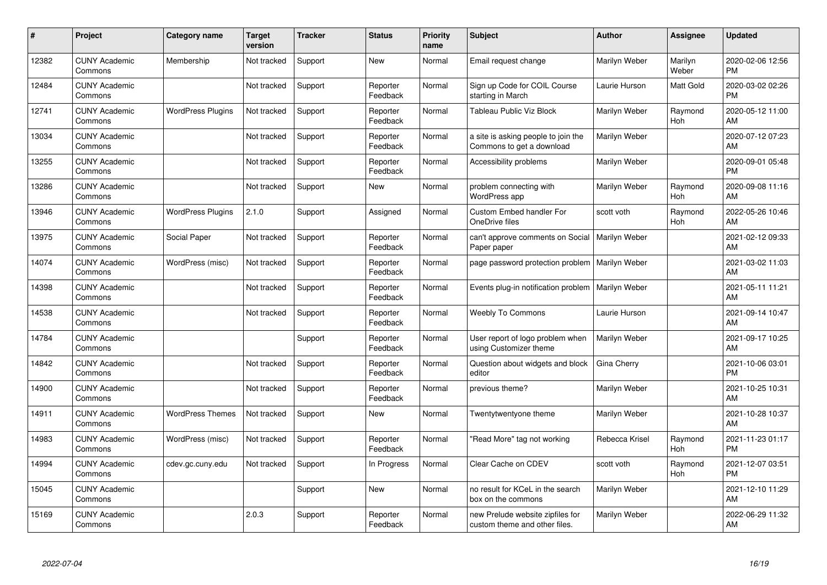| #     | Project                         | Category name            | <b>Target</b><br>version | <b>Tracker</b> | <b>Status</b>        | Priority<br>name | <b>Subject</b>                                                    | <b>Author</b>  | <b>Assignee</b>  | <b>Updated</b>                |
|-------|---------------------------------|--------------------------|--------------------------|----------------|----------------------|------------------|-------------------------------------------------------------------|----------------|------------------|-------------------------------|
| 12382 | <b>CUNY Academic</b><br>Commons | Membership               | Not tracked              | Support        | <b>New</b>           | Normal           | Email request change                                              | Marilyn Weber  | Marilyn<br>Weber | 2020-02-06 12:56<br><b>PM</b> |
| 12484 | <b>CUNY Academic</b><br>Commons |                          | Not tracked              | Support        | Reporter<br>Feedback | Normal           | Sign up Code for COIL Course<br>starting in March                 | Laurie Hurson  | Matt Gold        | 2020-03-02 02:26<br><b>PM</b> |
| 12741 | <b>CUNY Academic</b><br>Commons | <b>WordPress Plugins</b> | Not tracked              | Support        | Reporter<br>Feedback | Normal           | Tableau Public Viz Block                                          | Marilyn Weber  | Raymond<br>Hoh   | 2020-05-12 11:00<br>AM        |
| 13034 | <b>CUNY Academic</b><br>Commons |                          | Not tracked              | Support        | Reporter<br>Feedback | Normal           | a site is asking people to join the<br>Commons to get a download  | Marilyn Weber  |                  | 2020-07-12 07:23<br>AM        |
| 13255 | <b>CUNY Academic</b><br>Commons |                          | Not tracked              | Support        | Reporter<br>Feedback | Normal           | Accessibility problems                                            | Marilyn Weber  |                  | 2020-09-01 05:48<br><b>PM</b> |
| 13286 | <b>CUNY Academic</b><br>Commons |                          | Not tracked              | Support        | <b>New</b>           | Normal           | problem connecting with<br><b>WordPress app</b>                   | Marilyn Weber  | Raymond<br>Hoh   | 2020-09-08 11:16<br>AM        |
| 13946 | <b>CUNY Academic</b><br>Commons | <b>WordPress Plugins</b> | 2.1.0                    | Support        | Assigned             | Normal           | <b>Custom Embed handler For</b><br>OneDrive files                 | scott voth     | Raymond<br>Hoh   | 2022-05-26 10:46<br>AM        |
| 13975 | <b>CUNY Academic</b><br>Commons | Social Paper             | Not tracked              | Support        | Reporter<br>Feedback | Normal           | can't approve comments on Social<br>Paper paper                   | Marilyn Weber  |                  | 2021-02-12 09:33<br>AM        |
| 14074 | <b>CUNY Academic</b><br>Commons | WordPress (misc)         | Not tracked              | Support        | Reporter<br>Feedback | Normal           | page password protection problem   Marilyn Weber                  |                |                  | 2021-03-02 11:03<br>AM        |
| 14398 | <b>CUNY Academic</b><br>Commons |                          | Not tracked              | Support        | Reporter<br>Feedback | Normal           | Events plug-in notification problem                               | Marilyn Weber  |                  | 2021-05-11 11:21<br>AM        |
| 14538 | <b>CUNY Academic</b><br>Commons |                          | Not tracked              | Support        | Reporter<br>Feedback | Normal           | <b>Weebly To Commons</b>                                          | Laurie Hurson  |                  | 2021-09-14 10:47<br>AM        |
| 14784 | <b>CUNY Academic</b><br>Commons |                          |                          | Support        | Reporter<br>Feedback | Normal           | User report of logo problem when<br>using Customizer theme        | Marilyn Weber  |                  | 2021-09-17 10:25<br>AM        |
| 14842 | <b>CUNY Academic</b><br>Commons |                          | Not tracked              | Support        | Reporter<br>Feedback | Normal           | Question about widgets and block<br>editor                        | Gina Cherry    |                  | 2021-10-06 03:01<br><b>PM</b> |
| 14900 | <b>CUNY Academic</b><br>Commons |                          | Not tracked              | Support        | Reporter<br>Feedback | Normal           | previous theme?                                                   | Marilyn Weber  |                  | 2021-10-25 10:31<br>AM        |
| 14911 | <b>CUNY Academic</b><br>Commons | <b>WordPress Themes</b>  | Not tracked              | Support        | <b>New</b>           | Normal           | Twentytwentyone theme                                             | Marilyn Weber  |                  | 2021-10-28 10:37<br>AM        |
| 14983 | <b>CUNY Academic</b><br>Commons | WordPress (misc)         | Not tracked              | Support        | Reporter<br>Feedback | Normal           | 'Read More" tag not working                                       | Rebecca Krisel | Raymond<br>Hoh   | 2021-11-23 01:17<br><b>PM</b> |
| 14994 | <b>CUNY Academic</b><br>Commons | cdev.gc.cuny.edu         | Not tracked              | Support        | In Progress          | Normal           | Clear Cache on CDEV                                               | scott voth     | Raymond<br>Hoh   | 2021-12-07 03:51<br><b>PM</b> |
| 15045 | <b>CUNY Academic</b><br>Commons |                          |                          | Support        | <b>New</b>           | Normal           | no result for KCeL in the search<br>box on the commons            | Marilyn Weber  |                  | 2021-12-10 11:29<br>AM        |
| 15169 | <b>CUNY Academic</b><br>Commons |                          | 2.0.3                    | Support        | Reporter<br>Feedback | Normal           | new Prelude website zipfiles for<br>custom theme and other files. | Marilyn Weber  |                  | 2022-06-29 11:32<br>AM        |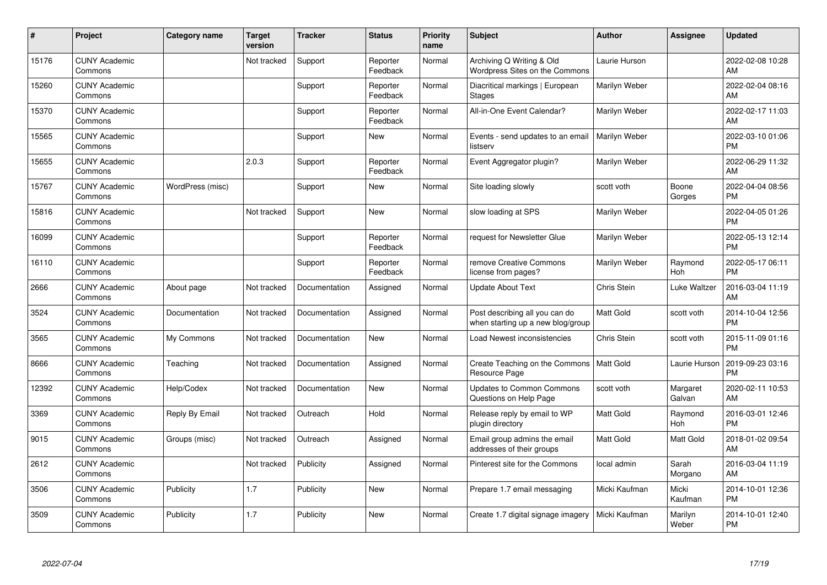| #     | Project                         | <b>Category name</b> | <b>Target</b><br>version | <b>Tracker</b> | <b>Status</b>        | <b>Priority</b><br>name | <b>Subject</b>                                                      | <b>Author</b>    | <b>Assignee</b>    | <b>Updated</b>                |
|-------|---------------------------------|----------------------|--------------------------|----------------|----------------------|-------------------------|---------------------------------------------------------------------|------------------|--------------------|-------------------------------|
| 15176 | <b>CUNY Academic</b><br>Commons |                      | Not tracked              | Support        | Reporter<br>Feedback | Normal                  | Archiving Q Writing & Old<br>Wordpress Sites on the Commons         | Laurie Hurson    |                    | 2022-02-08 10:28<br>AM        |
| 15260 | <b>CUNY Academic</b><br>Commons |                      |                          | Support        | Reporter<br>Feedback | Normal                  | Diacritical markings   European<br><b>Stages</b>                    | Marilyn Weber    |                    | 2022-02-04 08:16<br>AM        |
| 15370 | <b>CUNY Academic</b><br>Commons |                      |                          | Support        | Reporter<br>Feedback | Normal                  | All-in-One Event Calendar?                                          | Marilyn Weber    |                    | 2022-02-17 11:03<br>AM        |
| 15565 | <b>CUNY Academic</b><br>Commons |                      |                          | Support        | <b>New</b>           | Normal                  | Events - send updates to an email<br>listserv                       | Marilyn Weber    |                    | 2022-03-10 01:06<br><b>PM</b> |
| 15655 | <b>CUNY Academic</b><br>Commons |                      | 2.0.3                    | Support        | Reporter<br>Feedback | Normal                  | Event Aggregator plugin?                                            | Marilyn Weber    |                    | 2022-06-29 11:32<br>AM        |
| 15767 | <b>CUNY Academic</b><br>Commons | WordPress (misc)     |                          | Support        | <b>New</b>           | Normal                  | Site loading slowly                                                 | scott voth       | Boone<br>Gorges    | 2022-04-04 08:56<br><b>PM</b> |
| 15816 | <b>CUNY Academic</b><br>Commons |                      | Not tracked              | Support        | <b>New</b>           | Normal                  | slow loading at SPS                                                 | Marilyn Weber    |                    | 2022-04-05 01:26<br><b>PM</b> |
| 16099 | <b>CUNY Academic</b><br>Commons |                      |                          | Support        | Reporter<br>Feedback | Normal                  | request for Newsletter Glue                                         | Marilyn Weber    |                    | 2022-05-13 12:14<br><b>PM</b> |
| 16110 | <b>CUNY Academic</b><br>Commons |                      |                          | Support        | Reporter<br>Feedback | Normal                  | remove Creative Commons<br>license from pages?                      | Marilyn Weber    | Raymond<br>Hoh     | 2022-05-17 06:11<br><b>PM</b> |
| 2666  | <b>CUNY Academic</b><br>Commons | About page           | Not tracked              | Documentation  | Assigned             | Normal                  | <b>Update About Text</b>                                            | Chris Stein      | Luke Waltzer       | 2016-03-04 11:19<br>AM        |
| 3524  | <b>CUNY Academic</b><br>Commons | Documentation        | Not tracked              | Documentation  | Assigned             | Normal                  | Post describing all you can do<br>when starting up a new blog/group | <b>Matt Gold</b> | scott voth         | 2014-10-04 12:56<br><b>PM</b> |
| 3565  | <b>CUNY Academic</b><br>Commons | My Commons           | Not tracked              | Documentation  | <b>New</b>           | Normal                  | Load Newest inconsistencies                                         | Chris Stein      | scott voth         | 2015-11-09 01:16<br><b>PM</b> |
| 8666  | <b>CUNY Academic</b><br>Commons | Teaching             | Not tracked              | Documentation  | Assigned             | Normal                  | Create Teaching on the Commons   Matt Gold<br>Resource Page         |                  | Laurie Hurson      | 2019-09-23 03:16<br><b>PM</b> |
| 12392 | <b>CUNY Academic</b><br>Commons | Help/Codex           | Not tracked              | Documentation  | <b>New</b>           | Normal                  | <b>Updates to Common Commons</b><br>Questions on Help Page          | scott voth       | Margaret<br>Galvan | 2020-02-11 10:53<br>AM        |
| 3369  | <b>CUNY Academic</b><br>Commons | Reply By Email       | Not tracked              | Outreach       | Hold                 | Normal                  | Release reply by email to WP<br>plugin directory                    | <b>Matt Gold</b> | Raymond<br>Hoh     | 2016-03-01 12:46<br><b>PM</b> |
| 9015  | <b>CUNY Academic</b><br>Commons | Groups (misc)        | Not tracked              | Outreach       | Assigned             | Normal                  | Email group admins the email<br>addresses of their groups           | Matt Gold        | Matt Gold          | 2018-01-02 09:54<br>AM        |
| 2612  | <b>CUNY Academic</b><br>Commons |                      | Not tracked              | Publicity      | Assigned             | Normal                  | Pinterest site for the Commons                                      | local admin      | Sarah<br>Morgano   | 2016-03-04 11:19<br>AM        |
| 3506  | <b>CUNY Academic</b><br>Commons | Publicity            | 1.7                      | Publicity      | <b>New</b>           | Normal                  | Prepare 1.7 email messaging                                         | Micki Kaufman    | Micki<br>Kaufman   | 2014-10-01 12:36<br><b>PM</b> |
| 3509  | <b>CUNY Academic</b><br>Commons | Publicity            | 1.7                      | Publicity      | <b>New</b>           | Normal                  | Create 1.7 digital signage imagery                                  | Micki Kaufman    | Marilyn<br>Weber   | 2014-10-01 12:40<br><b>PM</b> |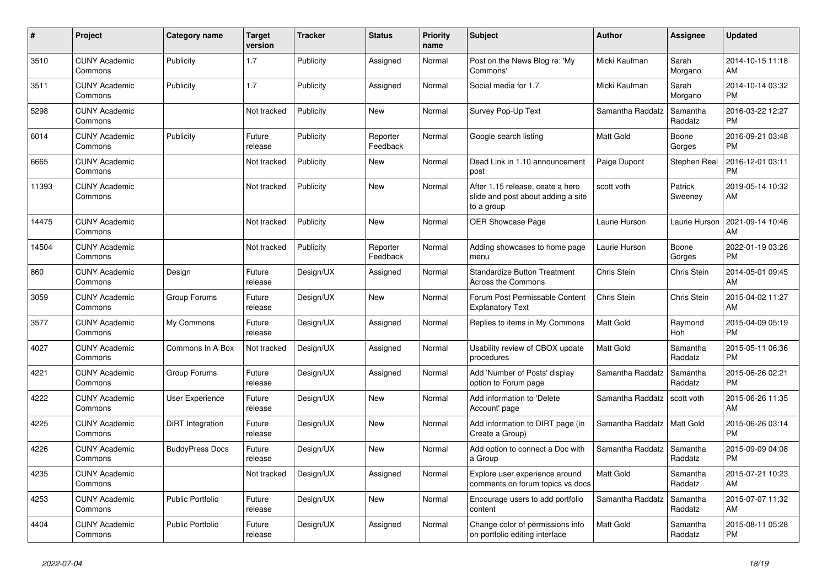| #     | <b>Project</b>                  | Category name           | <b>Target</b><br>version | <b>Tracker</b> | <b>Status</b>        | <b>Priority</b><br>name | <b>Subject</b>                                                                       | <b>Author</b>    | Assignee              | <b>Updated</b>                |
|-------|---------------------------------|-------------------------|--------------------------|----------------|----------------------|-------------------------|--------------------------------------------------------------------------------------|------------------|-----------------------|-------------------------------|
| 3510  | <b>CUNY Academic</b><br>Commons | Publicity               | 1.7                      | Publicity      | Assigned             | Normal                  | Post on the News Blog re: 'My<br>Commons'                                            | Micki Kaufman    | Sarah<br>Morgano      | 2014-10-15 11:18<br>AM        |
| 3511  | <b>CUNY Academic</b><br>Commons | Publicity               | 1.7                      | Publicity      | Assigned             | Normal                  | Social media for 1.7                                                                 | Micki Kaufman    | Sarah<br>Morgano      | 2014-10-14 03:32<br><b>PM</b> |
| 5298  | <b>CUNY Academic</b><br>Commons |                         | Not tracked              | Publicity      | <b>New</b>           | Normal                  | Survey Pop-Up Text                                                                   | Samantha Raddatz | Samantha<br>Raddatz   | 2016-03-22 12:27<br><b>PM</b> |
| 6014  | <b>CUNY Academic</b><br>Commons | Publicity               | Future<br>release        | Publicity      | Reporter<br>Feedback | Normal                  | Google search listing                                                                | <b>Matt Gold</b> | Boone<br>Gorges       | 2016-09-21 03:48<br><b>PM</b> |
| 6665  | <b>CUNY Academic</b><br>Commons |                         | Not tracked              | Publicity      | <b>New</b>           | Normal                  | Dead Link in 1.10 announcement<br>post                                               | Paige Dupont     | Stephen Real          | 2016-12-01 03:11<br><b>PM</b> |
| 11393 | <b>CUNY Academic</b><br>Commons |                         | Not tracked              | Publicity      | <b>New</b>           | Normal                  | After 1.15 release, ceate a hero<br>slide and post about adding a site<br>to a group | scott voth       | Patrick<br>Sweeney    | 2019-05-14 10:32<br>AM        |
| 14475 | <b>CUNY Academic</b><br>Commons |                         | Not tracked              | Publicity      | <b>New</b>           | Normal                  | <b>OER Showcase Page</b>                                                             | Laurie Hurson    | Laurie Hurson         | 2021-09-14 10:46<br>AM        |
| 14504 | <b>CUNY Academic</b><br>Commons |                         | Not tracked              | Publicity      | Reporter<br>Feedback | Normal                  | Adding showcases to home page<br>menu                                                | Laurie Hurson    | Boone<br>Gorges       | 2022-01-19 03:26<br><b>PM</b> |
| 860   | <b>CUNY Academic</b><br>Commons | Design                  | Future<br>release        | Design/UX      | Assigned             | Normal                  | <b>Standardize Button Treatment</b><br><b>Across the Commons</b>                     | Chris Stein      | <b>Chris Stein</b>    | 2014-05-01 09:45<br>AM        |
| 3059  | <b>CUNY Academic</b><br>Commons | Group Forums            | Future<br>release        | Design/UX      | New                  | Normal                  | Forum Post Permissable Content<br><b>Explanatory Text</b>                            | Chris Stein      | Chris Stein           | 2015-04-02 11:27<br>AM        |
| 3577  | <b>CUNY Academic</b><br>Commons | My Commons              | Future<br>release        | Design/UX      | Assigned             | Normal                  | Replies to items in My Commons                                                       | Matt Gold        | Raymond<br><b>Hoh</b> | 2015-04-09 05:19<br><b>PM</b> |
| 4027  | <b>CUNY Academic</b><br>Commons | Commons In A Box        | Not tracked              | Design/UX      | Assigned             | Normal                  | Usability review of CBOX update<br>procedures                                        | <b>Matt Gold</b> | Samantha<br>Raddatz   | 2015-05-11 06:36<br><b>PM</b> |
| 4221  | <b>CUNY Academic</b><br>Commons | Group Forums            | Future<br>release        | Design/UX      | Assigned             | Normal                  | Add 'Number of Posts' display<br>option to Forum page                                | Samantha Raddatz | Samantha<br>Raddatz   | 2015-06-26 02:21<br><b>PM</b> |
| 4222  | <b>CUNY Academic</b><br>Commons | User Experience         | Future<br>release        | Design/UX      | <b>New</b>           | Normal                  | Add information to 'Delete<br>Account' page                                          | Samantha Raddatz | scott voth            | 2015-06-26 11:35<br>AM        |
| 4225  | <b>CUNY Academic</b><br>Commons | DiRT Integration        | Future<br>release        | Design/UX      | New                  | Normal                  | Add information to DIRT page (in<br>Create a Group)                                  | Samantha Raddatz | <b>Matt Gold</b>      | 2015-06-26 03:14<br><b>PM</b> |
| 4226  | <b>CUNY Academic</b><br>Commons | <b>BuddyPress Docs</b>  | Future<br>release        | Design/UX      | <b>New</b>           | Normal                  | Add option to connect a Doc with<br>a Group                                          | Samantha Raddatz | Samantha<br>Raddatz   | 2015-09-09 04:08<br><b>PM</b> |
| 4235  | <b>CUNY Academic</b><br>Commons |                         | Not tracked              | Design/UX      | Assigned             | Normal                  | Explore user experience around<br>comments on forum topics vs docs                   | <b>Matt Gold</b> | Samantha<br>Raddatz   | 2015-07-21 10:23<br>AM        |
| 4253  | <b>CUNY Academic</b><br>Commons | <b>Public Portfolio</b> | Future<br>release        | Design/UX      | <b>New</b>           | Normal                  | Encourage users to add portfolio<br>content                                          | Samantha Raddatz | Samantha<br>Raddatz   | 2015-07-07 11:32<br>AM        |
| 4404  | <b>CUNY Academic</b><br>Commons | Public Portfolio        | Future<br>release        | Design/UX      | Assigned             | Normal                  | Change color of permissions info<br>on portfolio editing interface                   | <b>Matt Gold</b> | Samantha<br>Raddatz   | 2015-08-11 05:28<br><b>PM</b> |